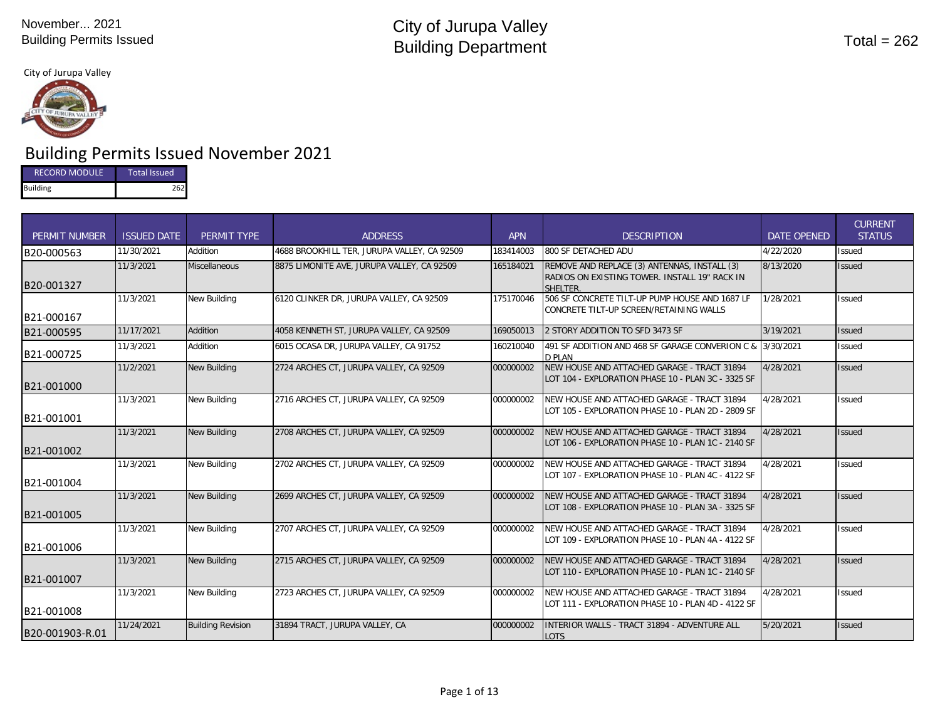

# Building Permits Issued November 2021

| <b>RECORD MODULE</b> | Total Issued |
|----------------------|--------------|
| <b>Building</b>      | 262          |

| <b>PERMIT NUMBER</b> | <b>ISSUED DATE</b> | PERMIT TYPE              | <b>ADDRESS</b>                              | <b>APN</b> | <b>DESCRIPTION</b>                                                                                               | DATE OPENED | <b>CURRENT</b><br><b>STATUS</b> |
|----------------------|--------------------|--------------------------|---------------------------------------------|------------|------------------------------------------------------------------------------------------------------------------|-------------|---------------------------------|
| B20-000563           | 11/30/2021         | Addition                 | 4688 BROOKHILL TER, JURUPA VALLEY, CA 92509 | 183414003  | 800 SF DETACHED ADU                                                                                              | 4/22/2020   | <b>Issued</b>                   |
| B20-001327           | 11/3/2021          | <b>Miscellaneous</b>     | 8875 LIMONITE AVE, JURUPA VALLEY, CA 92509  | 165184021  | REMOVE AND REPLACE (3) ANTENNAS, INSTALL (3)<br>RADIOS ON EXISTING TOWER. INSTALL 19" RACK IN<br><b>SHFI TFR</b> | 8/13/2020   | <b>Issued</b>                   |
| B21-000167           | 11/3/2021          | <b>New Building</b>      | 6120 CLINKER DR, JURUPA VALLEY, CA 92509    | 175170046  | 506 SF CONCRETE TILT-UP PUMP HOUSE AND 1687 LF<br>CONCRETE TILT-UP SCREEN/RETAINING WALLS                        | 1/28/2021   | <b>Issued</b>                   |
| B21-000595           | 11/17/2021         | Addition                 | 4058 KENNETH ST, JURUPA VALLEY, CA 92509    | 169050013  | 2 STORY ADDITION TO SFD 3473 SF                                                                                  | 3/19/2021   | <b>Issued</b>                   |
| B21-000725           | 11/3/2021          | Addition                 | 6015 OCASA DR, JURUPA VALLEY, CA 91752      | 160210040  | 491 SF ADDITION AND 468 SF GARAGE CONVERION C & 3/30/2021<br>D PLAN                                              |             | <b>Issued</b>                   |
| B21-001000           | 11/2/2021          | <b>New Building</b>      | 2724 ARCHES CT, JURUPA VALLEY, CA 92509     | 000000002  | NEW HOUSE AND ATTACHED GARAGE - TRACT 31894<br>LOT 104 - EXPLORATION PHASE 10 - PLAN 3C - 3325 SF                | 4/28/2021   | <b>Issued</b>                   |
| B21-001001           | 11/3/2021          | <b>New Building</b>      | 2716 ARCHES CT, JURUPA VALLEY, CA 92509     | 000000002  | NEW HOUSE AND ATTACHED GARAGE - TRACT 31894<br>LOT 105 - EXPLORATION PHASE 10 - PLAN 2D - 2809 SF                | 4/28/2021   | <b>Issued</b>                   |
| B21-001002           | 11/3/2021          | <b>New Building</b>      | 2708 ARCHES CT, JURUPA VALLEY, CA 92509     | 000000002  | NEW HOUSE AND ATTACHED GARAGE - TRACT 31894<br>LOT 106 - EXPLORATION PHASE 10 - PLAN 1C - 2140 SF                | 4/28/2021   | <b>Issued</b>                   |
| B21-001004           | 11/3/2021          | <b>New Building</b>      | 2702 ARCHES CT. JURUPA VALLEY. CA 92509     | 000000002  | NEW HOUSE AND ATTACHED GARAGE - TRACT 31894<br>LOT 107 - EXPLORATION PHASE 10 - PLAN 4C - 4122 SF                | 4/28/2021   | <b>Issued</b>                   |
| B21-001005           | 11/3/2021          | <b>New Building</b>      | 2699 ARCHES CT, JURUPA VALLEY, CA 92509     | 000000002  | NEW HOUSE AND ATTACHED GARAGE - TRACT 31894<br>LOT 108 - EXPLORATION PHASE 10 - PLAN 3A - 3325 SF                | 4/28/2021   | <b>Issued</b>                   |
| B21-001006           | 11/3/2021          | <b>New Building</b>      | 2707 ARCHES CT, JURUPA VALLEY, CA 92509     | 000000002  | NEW HOUSE AND ATTACHED GARAGE - TRACT 31894<br>LOT 109 - EXPLORATION PHASE 10 - PLAN 4A - 4122 SF                | 4/28/2021   | <b>Issued</b>                   |
| B21-001007           | 11/3/2021          | <b>New Building</b>      | 2715 ARCHES CT, JURUPA VALLEY, CA 92509     | 000000002  | NEW HOUSE AND ATTACHED GARAGE - TRACT 31894<br>LOT 110 - EXPLORATION PHASE 10 - PLAN 1C - 2140 SF                | 4/28/2021   | <b>Issued</b>                   |
| B21-001008           | 11/3/2021          | <b>New Building</b>      | 2723 ARCHES CT, JURUPA VALLEY, CA 92509     | 000000002  | NEW HOUSE AND ATTACHED GARAGE - TRACT 31894<br>LOT 111 - EXPLORATION PHASE 10 - PLAN 4D - 4122 SF                | 4/28/2021   | <b>Issued</b>                   |
| B20-001903-R.01      | 11/24/2021         | <b>Building Revision</b> | 31894 TRACT, JURUPA VALLEY, CA              | 000000002  | INTERIOR WALLS - TRACT 31894 - ADVENTURE ALL<br><b>LOTS</b>                                                      | 5/20/2021   | <b>Issued</b>                   |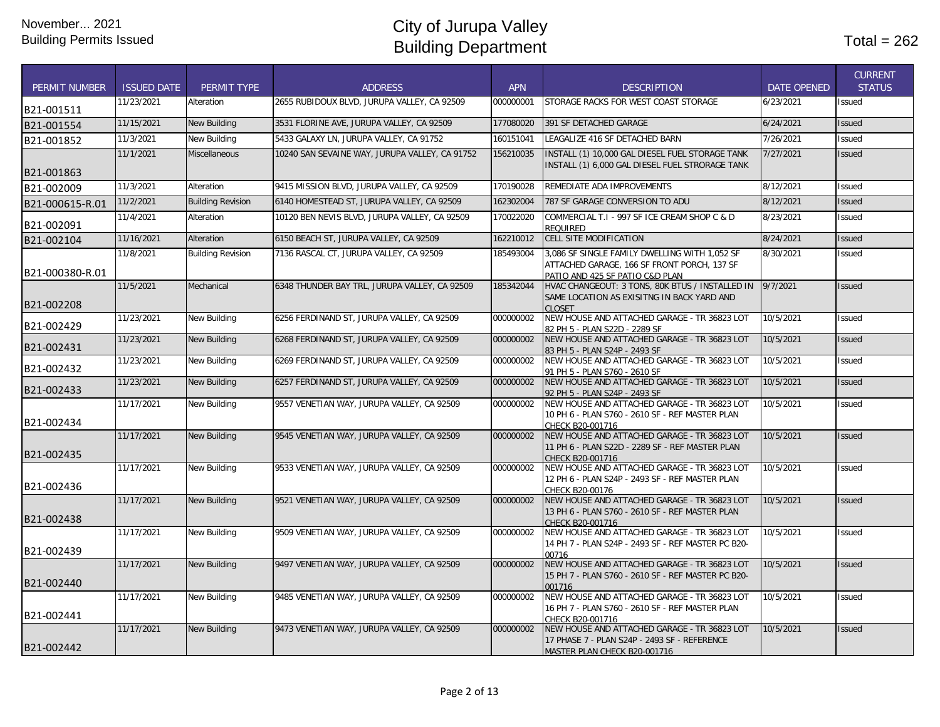| <b>PERMIT NUMBER</b> | <b>ISSUED DATE</b> | <b>PERMIT TYPE</b>       | <b>ADDRESS</b>                                 | <b>APN</b> | <b>DESCRIPTION</b>                                                                                                              | <b>DATE OPENED</b> | <b>CURRENT</b><br><b>STATUS</b> |
|----------------------|--------------------|--------------------------|------------------------------------------------|------------|---------------------------------------------------------------------------------------------------------------------------------|--------------------|---------------------------------|
| B21-001511           | 11/23/2021         | Alteration               | 2655 RUBIDOUX BLVD, JURUPA VALLEY, CA 92509    | 000000001  | STORAGE RACKS FOR WEST COAST STORAGE                                                                                            | 6/23/2021          | <b>Issued</b>                   |
| B21-001554           | 11/15/2021         | <b>New Building</b>      | 3531 FLORINE AVE, JURUPA VALLEY, CA 92509      | 177080020  | 391 SF DETACHED GARAGE                                                                                                          | 6/24/2021          | <b>Issued</b>                   |
| B21-001852           | 11/3/2021          | New Building             | 5433 GALAXY LN, JURUPA VALLEY, CA 91752        | 160151041  | LEAGALIZE 416 SF DETACHED BARN                                                                                                  | 7/26/2021          | Issued                          |
| B21-001863           | 11/1/2021          | <b>Miscellaneous</b>     | 10240 SAN SEVAINE WAY, JURUPA VALLEY, CA 91752 | 156210035  | INSTALL (1) 10,000 GAL DIESEL FUEL STORAGE TANK<br>INSTALL (1) 6,000 GAL DIESEL FUEL STRORAGE TANK                              | 7/27/2021          | <b>Issued</b>                   |
| B21-002009           | 11/3/2021          | Alteration               | 9415 MISSION BLVD, JURUPA VALLEY, CA 92509     | 170190028  | REMEDIATE ADA IMPROVEMENTS                                                                                                      | 8/12/2021          | Issued                          |
| B21-000615-R.01      | 11/2/2021          | <b>Building Revision</b> | 6140 HOMESTEAD ST, JURUPA VALLEY, CA 92509     | 162302004  | 787 SF GARAGE CONVERSION TO ADU                                                                                                 | 8/12/2021          | Issued                          |
| B21-002091           | 11/4/2021          | Alteration               | 10120 BEN NEVIS BLVD, JURUPA VALLEY, CA 92509  | 170022020  | COMMERCIAL T.I - 997 SF ICE CREAM SHOP C & D<br><b>REQUIRED</b>                                                                 | 8/23/2021          | Issued                          |
| B21-002104           | 11/16/2021         | Alteration               | 6150 BEACH ST, JURUPA VALLEY, CA 92509         | 162210012  | <b>CELL SITE MODIFICATION</b>                                                                                                   | 8/24/2021          | <b>Issued</b>                   |
| B21-000380-R.01      | 11/8/2021          | <b>Building Revision</b> | 7136 RASCAL CT, JURUPA VALLEY, CA 92509        | 185493004  | 3,086 SF SINGLE FAMILY DWELLING WITH 1,052 SF<br>ATTACHED GARAGE, 166 SF FRONT PORCH, 137 SF<br>PATIO AND 425 SF PATIO C&D PLAN | 8/30/2021          | Issued                          |
| B21-002208           | 11/5/2021          | Mechanical               | 6348 THUNDER BAY TRL, JURUPA VALLEY, CA 92509  | 185342044  | HVAC CHANGEOUT: 3 TONS, 80K BTUS / INSTALLED IN<br>SAME LOCATION AS EXISITNG IN BACK YARD AND<br><b>CLOSET</b>                  | 9/7/2021           | <b>Issued</b>                   |
| B21-002429           | 11/23/2021         | New Building             | 6256 FERDINAND ST, JURUPA VALLEY, CA 92509     | 000000002  | NEW HOUSE AND ATTACHED GARAGE - TR 36823 LOT<br>82 PH 5 - PLAN S22D - 2289 SF                                                   | 10/5/2021          | Issued                          |
| B21-002431           | 11/23/2021         | <b>New Building</b>      | 6268 FERDINAND ST, JURUPA VALLEY, CA 92509     | 000000002  | NEW HOUSE AND ATTACHED GARAGE - TR 36823 LOT<br>83 PH 5 - PLAN S24P - 2493 SF                                                   | 10/5/2021          | <b>Issued</b>                   |
| B21-002432           | 11/23/2021         | New Building             | 6269 FERDINAND ST, JURUPA VALLEY, CA 92509     | 000000002  | NEW HOUSE AND ATTACHED GARAGE - TR 36823 LOT<br>91 PH 5 - PLAN S760 - 2610 SF                                                   | 10/5/2021          | <b>Issued</b>                   |
| B21-002433           | 11/23/2021         | <b>New Building</b>      | 6257 FERDINAND ST, JURUPA VALLEY, CA 92509     | 000000002  | NEW HOUSE AND ATTACHED GARAGE - TR 36823 LOT<br>92 PH 5 - PLAN S24P - 2493 SF                                                   | 10/5/2021          | <b>Issued</b>                   |
| B21-002434           | 11/17/2021         | <b>New Building</b>      | 9557 VENETIAN WAY, JURUPA VALLEY, CA 92509     | 000000002  | NEW HOUSE AND ATTACHED GARAGE - TR 36823 LOT<br>10 PH 6 - PLAN S760 - 2610 SF - REF MASTER PLAN<br>CHECK B20-001716             | 10/5/2021          | <b>Issued</b>                   |
| B21-002435           | 11/17/2021         | <b>New Building</b>      | 9545 VENETIAN WAY, JURUPA VALLEY, CA 92509     | 000000002  | NEW HOUSE AND ATTACHED GARAGE - TR 36823 LOT<br>11 PH 6 - PLAN S22D - 2289 SF - REF MASTER PLAN<br>CHECK B20-001716             | 10/5/2021          | <b>Issued</b>                   |
| B21-002436           | 11/17/2021         | New Building             | 9533 VENETIAN WAY, JURUPA VALLEY, CA 92509     | 000000002  | NEW HOUSE AND ATTACHED GARAGE - TR 36823 LOT<br>12 PH 6 - PLAN S24P - 2493 SF - REF MASTER PLAN<br>CHECK B20-00176              | 10/5/2021          | <b>Issued</b>                   |
| B21-002438           | 11/17/2021         | <b>New Building</b>      | 9521 VENETIAN WAY, JURUPA VALLEY, CA 92509     | 000000002  | NEW HOUSE AND ATTACHED GARAGE - TR 36823 LOT<br>13 PH 6 - PLAN S760 - 2610 SF - REF MASTER PLAN<br>CHECK B20-001716             | 10/5/2021          | <b>Issued</b>                   |
| B21-002439           | 11/17/2021         | New Building             | 9509 VENETIAN WAY, JURUPA VALLEY, CA 92509     | 000000002  | NEW HOUSE AND ATTACHED GARAGE - TR 36823 LOT<br>14 PH 7 - PLAN S24P - 2493 SF - REF MASTER PC B20-<br>00716                     | 10/5/2021          | <b>Issued</b>                   |
| B21-002440           | 11/17/2021         | <b>New Building</b>      | 9497 VENETIAN WAY, JURUPA VALLEY, CA 92509     | 000000002  | NEW HOUSE AND ATTACHED GARAGE - TR 36823 LOT<br>15 PH 7 - PLAN S760 - 2610 SF - REF MASTER PC B20-<br>001716                    | 10/5/2021          | <b>Issued</b>                   |
| B21-002441           | 11/17/2021         | New Building             | 9485 VENETIAN WAY, JURUPA VALLEY, CA 92509     | 000000002  | NEW HOUSE AND ATTACHED GARAGE - TR 36823 LOT<br>16 PH 7 - PLAN S760 - 2610 SF - REF MASTER PLAN<br>CHECK B20-001716             | 10/5/2021          | <b>Issued</b>                   |
| B21-002442           | 11/17/2021         | <b>New Building</b>      | 9473 VENETIAN WAY, JURUPA VALLEY, CA 92509     | 000000002  | NEW HOUSE AND ATTACHED GARAGE - TR 36823 LOT<br>17 PHASE 7 - PLAN S24P - 2493 SF - REFERENCE<br>MASTER PLAN CHECK B20-001716    | 10/5/2021          | <b>Issued</b>                   |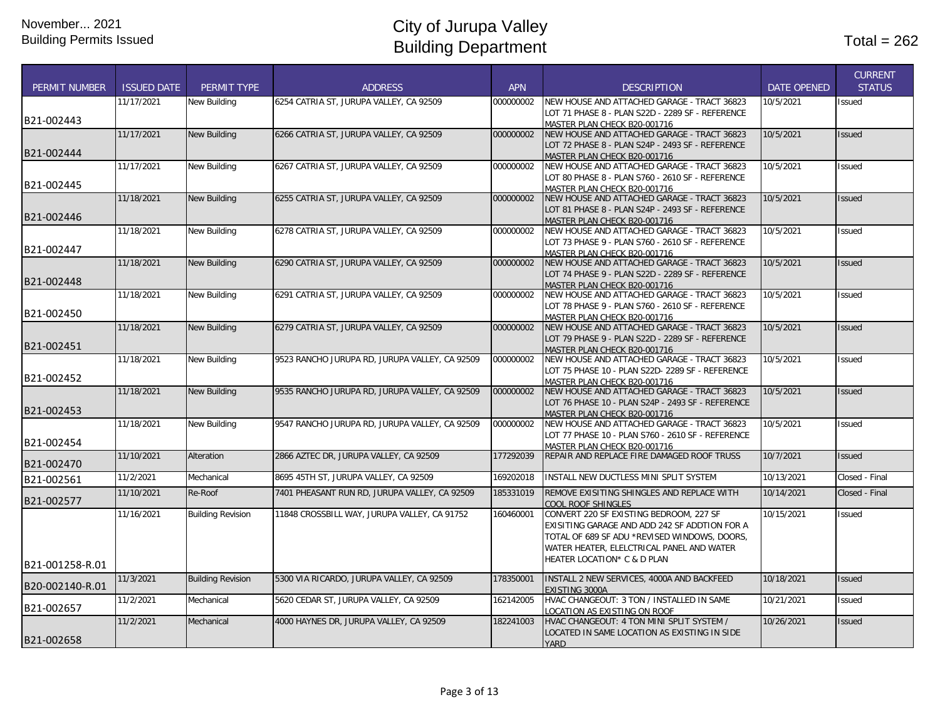| PERMIT NUMBER   | <b>ISSUED DATE</b> | PERMIT TYPE              | <b>ADDRESS</b>                                 | <b>APN</b> | <b>DESCRIPTION</b>                                                                | <b>DATE OPENED</b> | <b>CURRENT</b><br><b>STATUS</b> |
|-----------------|--------------------|--------------------------|------------------------------------------------|------------|-----------------------------------------------------------------------------------|--------------------|---------------------------------|
|                 | 11/17/2021         | New Building             | 6254 CATRIA ST. JURUPA VALLEY. CA 92509        | 000000002  | NEW HOUSE AND ATTACHED GARAGE - TRACT 36823                                       | 10/5/2021          | <b>Issued</b>                   |
| B21-002443      |                    |                          |                                                |            | LOT 71 PHASE 8 - PLAN S22D - 2289 SF - REFERENCE                                  |                    |                                 |
|                 |                    |                          |                                                |            | MASTER PLAN CHECK B20-001716                                                      |                    |                                 |
|                 | 11/17/2021         | New Building             | 6266 CATRIA ST, JURUPA VALLEY, CA 92509        | 000000002  | NEW HOUSE AND ATTACHED GARAGE - TRACT 36823                                       | 10/5/2021          | <b>Issued</b>                   |
| B21-002444      |                    |                          |                                                |            | LOT 72 PHASE 8 - PLAN S24P - 2493 SF - REFERENCE                                  |                    |                                 |
|                 |                    |                          |                                                |            | MASTER PLAN CHECK B20-001716                                                      |                    |                                 |
|                 | 11/17/2021         | New Building             | 6267 CATRIA ST, JURUPA VALLEY, CA 92509        | 000000002  | NEW HOUSE AND ATTACHED GARAGE - TRACT 36823                                       | 10/5/2021          | Issued                          |
| B21-002445      |                    |                          |                                                |            | LOT 80 PHASE 8 - PLAN S760 - 2610 SF - REFERENCE                                  |                    |                                 |
|                 | 11/18/2021         |                          |                                                |            | MASTER PLAN CHECK B20-001716<br>NEW HOUSE AND ATTACHED GARAGE - TRACT 36823       | 10/5/2021          |                                 |
|                 |                    | <b>New Building</b>      | 6255 CATRIA ST, JURUPA VALLEY, CA 92509        | 000000002  |                                                                                   |                    | <b>Issued</b>                   |
| B21-002446      |                    |                          |                                                |            | LOT 81 PHASE 8 - PLAN S24P - 2493 SF - REFERENCE                                  |                    |                                 |
|                 | 11/18/2021         | New Building             | 6278 CATRIA ST, JURUPA VALLEY, CA 92509        | 000000002  | MASTER PLAN CHECK B20-001716<br>NEW HOUSE AND ATTACHED GARAGE - TRACT 36823       | 10/5/2021          | Issued                          |
|                 |                    |                          |                                                |            |                                                                                   |                    |                                 |
| B21-002447      |                    |                          |                                                |            | LOT 73 PHASE 9 - PLAN S760 - 2610 SF - REFERENCE                                  |                    |                                 |
|                 | 11/18/2021         | New Building             |                                                | 000000002  | MASTER PLAN CHECK B20-001716<br>NEW HOUSE AND ATTACHED GARAGE - TRACT 36823       | 10/5/2021          | <b>Issued</b>                   |
|                 |                    |                          | 6290 CATRIA ST, JURUPA VALLEY, CA 92509        |            |                                                                                   |                    |                                 |
| B21-002448      |                    |                          |                                                |            | LOT 74 PHASE 9 - PLAN S22D - 2289 SF - REFERENCE                                  |                    |                                 |
|                 | 11/18/2021         | New Building             | 6291 CATRIA ST, JURUPA VALLEY, CA 92509        | 000000002  | MASTER PLAN CHECK B20-001716<br>NEW HOUSE AND ATTACHED GARAGE - TRACT 36823       | 10/5/2021          | <b>Issued</b>                   |
|                 |                    |                          |                                                |            | LOT 78 PHASE 9 - PLAN S760 - 2610 SF - REFERENCE                                  |                    |                                 |
| B21-002450      |                    |                          |                                                |            |                                                                                   |                    |                                 |
|                 | 11/18/2021         | New Building             | 6279 CATRIA ST, JURUPA VALLEY, CA 92509        | 000000002  | MASTER PLAN CHECK B20-001716<br>NEW HOUSE AND ATTACHED GARAGE - TRACT 36823       | 10/5/2021          | <b>Issued</b>                   |
|                 |                    |                          |                                                |            |                                                                                   |                    |                                 |
| B21-002451      |                    |                          |                                                |            | LOT 79 PHASE 9 - PLAN S22D - 2289 SF - REFERENCE                                  |                    |                                 |
|                 |                    |                          |                                                |            | MASTER PLAN CHECK B20-001716                                                      |                    |                                 |
|                 | 11/18/2021         | New Building             | 9523 RANCHO JURUPA RD, JURUPA VALLEY, CA 92509 | 000000002  | NEW HOUSE AND ATTACHED GARAGE - TRACT 36823                                       | 10/5/2021          | Issued                          |
| B21-002452      |                    |                          |                                                |            | LOT 75 PHASE 10 - PLAN S22D- 2289 SF - REFERENCE                                  |                    |                                 |
|                 | 11/18/2021         | <b>New Building</b>      | 9535 RANCHO JURUPA RD, JURUPA VALLEY, CA 92509 | 000000002  | MASTER PLAN CHECK B20-001716<br>NEW HOUSE AND ATTACHED GARAGE - TRACT 36823       | 10/5/2021          | <b>Issued</b>                   |
|                 |                    |                          |                                                |            |                                                                                   |                    |                                 |
| B21-002453      |                    |                          |                                                |            | LOT 76 PHASE 10 - PLAN S24P - 2493 SF - REFERENCE<br>MASTER PLAN CHECK B20-001716 |                    |                                 |
|                 | 11/18/2021         | New Building             | 9547 RANCHO JURUPA RD, JURUPA VALLEY, CA 92509 | 000000002  | NEW HOUSE AND ATTACHED GARAGE - TRACT 36823                                       | 10/5/2021          | Issued                          |
|                 |                    |                          |                                                |            |                                                                                   |                    |                                 |
| B21-002454      |                    |                          |                                                |            | LOT 77 PHASE 10 - PLAN S760 - 2610 SF - REFERENCE                                 |                    |                                 |
|                 | 11/10/2021         | <b>Alteration</b>        | 2866 AZTEC DR, JURUPA VALLEY, CA 92509         | 177292039  | MASTER PLAN CHECK B20-001716<br>REPAIR AND REPLACE FIRE DAMAGED ROOF TRUSS        | 10/7/2021          | <b>Issued</b>                   |
| B21-002470      |                    |                          |                                                |            |                                                                                   |                    |                                 |
| B21-002561      | 11/2/2021          | Mechanical               | 8695 45TH ST, JURUPA VALLEY, CA 92509          | 169202018  | INSTALL NEW DUCTLESS MINI SPLIT SYSTEM                                            | 10/13/2021         | Closed - Final                  |
| B21-002577      | 11/10/2021         | Re-Roof                  | 7401 PHEASANT RUN RD, JURUPA VALLEY, CA 92509  | 185331019  | REMOVE EXISITING SHINGLES AND REPLACE WITH                                        | 10/14/2021         | Closed - Final                  |
|                 | 11/16/2021         | <b>Building Revision</b> | 11848 CROSSBILL WAY, JURUPA VALLEY, CA 91752   | 160460001  | <b>COOL ROOF SHINGLES</b><br>CONVERT 220 SF EXISTING BEDROOM, 227 SF              | 10/15/2021         | Issued                          |
|                 |                    |                          |                                                |            |                                                                                   |                    |                                 |
|                 |                    |                          |                                                |            | EXISITING GARAGE AND ADD 242 SF ADDTION FOR A                                     |                    |                                 |
|                 |                    |                          |                                                |            | TOTAL OF 689 SF ADU *REVISED WINDOWS, DOORS,                                      |                    |                                 |
|                 |                    |                          |                                                |            | WATER HEATER, ELELCTRICAL PANEL AND WATER                                         |                    |                                 |
| B21-001258-R.01 |                    |                          |                                                |            | HEATER LOCATION* C & D PLAN                                                       |                    |                                 |
|                 | 11/3/2021          | <b>Building Revision</b> | 5300 VIA RICARDO, JURUPA VALLEY, CA 92509      | 178350001  | INSTALL 2 NEW SERVICES, 4000A AND BACKFEED                                        | 10/18/2021         | <b>Issued</b>                   |
| B20-002140-R.01 |                    |                          |                                                |            | EXISTING 3000A                                                                    |                    |                                 |
|                 | 11/2/2021          | Mechanical               | 5620 CEDAR ST, JURUPA VALLEY, CA 92509         | 162142005  | HVAC CHANGEOUT: 3 TON / INSTALLED IN SAME                                         | 10/21/2021         | Issued                          |
| B21-002657      |                    |                          |                                                |            | LOCATION AS EXISTING ON ROOF                                                      |                    |                                 |
|                 | 11/2/2021          | Mechanical               | 4000 HAYNES DR, JURUPA VALLEY, CA 92509        | 182241003  | HVAC CHANGEOUT: 4 TON MINI SPLIT SYSTEM /                                         | 10/26/2021         | <b>Issued</b>                   |
|                 |                    |                          |                                                |            | LOCATED IN SAME LOCATION AS EXISTING IN SIDE                                      |                    |                                 |
| B21-002658      |                    |                          |                                                |            | <b>YARD</b>                                                                       |                    |                                 |
|                 |                    |                          |                                                |            |                                                                                   |                    |                                 |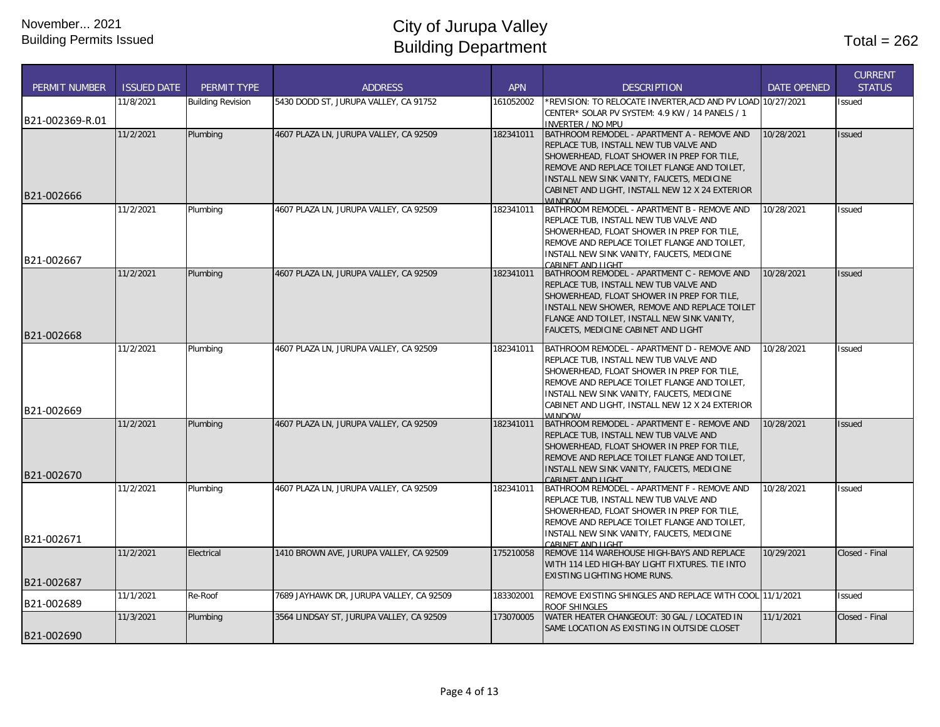| <b>PERMIT NUMBER</b>     | <b>ISSUED DATE</b> | <b>PERMIT TYPE</b>       | <b>ADDRESS</b>                           | <b>APN</b> | <b>DESCRIPTION</b>                                                                                                                                                                                                                                                                                           | <b>DATE OPENED</b> | <b>CURRENT</b><br><b>STATUS</b> |
|--------------------------|--------------------|--------------------------|------------------------------------------|------------|--------------------------------------------------------------------------------------------------------------------------------------------------------------------------------------------------------------------------------------------------------------------------------------------------------------|--------------------|---------------------------------|
| B21-002369-R.01          | 11/8/2021          | <b>Building Revision</b> | 5430 DODD ST, JURUPA VALLEY, CA 91752    | 161052002  | *REVISION: TO RELOCATE INVERTER, ACD AND PV LOAD 10/27/2021<br>CENTER* SOLAR PV SYSTEM: 4.9 KW / 14 PANELS / 1<br><b>INVERTER / NO MPU</b>                                                                                                                                                                   |                    | Issued                          |
| B21-002666               | 11/2/2021          | Plumbing                 | 4607 PLAZA LN, JURUPA VALLEY, CA 92509   | 182341011  | BATHROOM REMODEL - APARTMENT A - REMOVE AND<br>REPLACE TUB, INSTALL NEW TUB VALVE AND<br>SHOWERHEAD, FLOAT SHOWER IN PREP FOR TILE,<br>REMOVE AND REPLACE TOILET FLANGE AND TOILET,<br>INSTALL NEW SINK VANITY, FAUCETS, MEDICINE<br>CABINET AND LIGHT, INSTALL NEW 12 X 24 EXTERIOR<br><b><i>MINDOM</i></b> | 10/28/2021         | Issued                          |
| B21-002667               | 11/2/2021          | Plumbing                 | 4607 PLAZA LN. JURUPA VALLEY. CA 92509   | 182341011  | BATHROOM REMODEL - APARTMENT B - REMOVE AND<br>REPLACE TUB, INSTALL NEW TUB VALVE AND<br>SHOWERHEAD, FLOAT SHOWER IN PREP FOR TILE,<br>REMOVE AND REPLACE TOILET FLANGE AND TOILET,<br>INSTALL NEW SINK VANITY, FAUCETS, MEDICINE<br>CARINET AND LIGHT                                                       | 10/28/2021         | Issued                          |
| B21-002668               | 11/2/2021          | Plumbing                 | 4607 PLAZA LN, JURUPA VALLEY, CA 92509   | 182341011  | BATHROOM REMODEL - APARTMENT C - REMOVE AND<br>REPLACE TUB, INSTALL NEW TUB VALVE AND<br>SHOWERHEAD, FLOAT SHOWER IN PREP FOR TILE,<br>INSTALL NEW SHOWER, REMOVE AND REPLACE TOILET<br>FLANGE AND TOILET, INSTALL NEW SINK VANITY,<br>FAUCETS, MEDICINE CABINET AND LIGHT                                   | 10/28/2021         | Issued                          |
|                          | 11/2/2021          | Plumbing                 | 4607 PLAZA LN, JURUPA VALLEY, CA 92509   | 182341011  | BATHROOM REMODEL - APARTMENT D - REMOVE AND<br>REPLACE TUB, INSTALL NEW TUB VALVE AND<br>SHOWERHEAD, FLOAT SHOWER IN PREP FOR TILE,<br>REMOVE AND REPLACE TOILET FLANGE AND TOILET,<br>INSTALL NEW SINK VANITY, FAUCETS, MEDICINE<br>CABINET AND LIGHT, INSTALL NEW 12 X 24 EXTERIOR                         | 10/28/2021         | Issued                          |
| B21-002669<br>B21-002670 | 11/2/2021          | Plumbing                 | 4607 PLAZA LN, JURUPA VALLEY, CA 92509   | 182341011  | <b>WINDOW</b><br>BATHROOM REMODEL - APARTMENT E - REMOVE AND<br>REPLACE TUB, INSTALL NEW TUB VALVE AND<br>SHOWERHEAD, FLOAT SHOWER IN PREP FOR TILE,<br>REMOVE AND REPLACE TOILET FLANGE AND TOILET,<br>INSTALL NEW SINK VANITY, FAUCETS, MEDICINE<br>CARINET AND LIGHT                                      | 10/28/2021         | Issued                          |
|                          | 11/2/2021          | Plumbing                 | 4607 PLAZA LN, JURUPA VALLEY, CA 92509   | 182341011  | BATHROOM REMODEL - APARTMENT F - REMOVE AND<br>REPLACE TUB, INSTALL NEW TUB VALVE AND<br>SHOWERHEAD, FLOAT SHOWER IN PREP FOR TILE,<br>REMOVE AND REPLACE TOILET FLANGE AND TOILET,<br>INSTALL NEW SINK VANITY, FAUCETS, MEDICINE                                                                            | 10/28/2021         | <b>Issued</b>                   |
| B21-002671<br>B21-002687 | 11/2/2021          | Electrical               | 1410 BROWN AVE, JURUPA VALLEY, CA 92509  | 175210058  | CARINET AND LIGHT<br>REMOVE 114 WAREHOUSE HIGH-BAYS AND REPLACE<br>WITH 114 LED HIGH-BAY LIGHT FIXTURES. TIE INTO<br><b>EXISTING LIGHTING HOME RUNS.</b>                                                                                                                                                     | 10/29/2021         | Closed - Final                  |
| B21-002689               | 11/1/2021          | Re-Roof                  | 7689 JAYHAWK DR, JURUPA VALLEY, CA 92509 | 183302001  | REMOVE EXISTING SHINGLES AND REPLACE WITH COOL 11/1/2021<br><b>ROOF SHINGLES</b>                                                                                                                                                                                                                             |                    | Issued                          |
| B21-002690               | 11/3/2021          | Plumbing                 | 3564 LINDSAY ST, JURUPA VALLEY, CA 92509 | 173070005  | WATER HEATER CHANGEOUT: 30 GAL / LOCATED IN<br>SAME LOCATION AS EXISTING IN OUTSIDE CLOSET                                                                                                                                                                                                                   | 11/1/2021          | Closed - Final                  |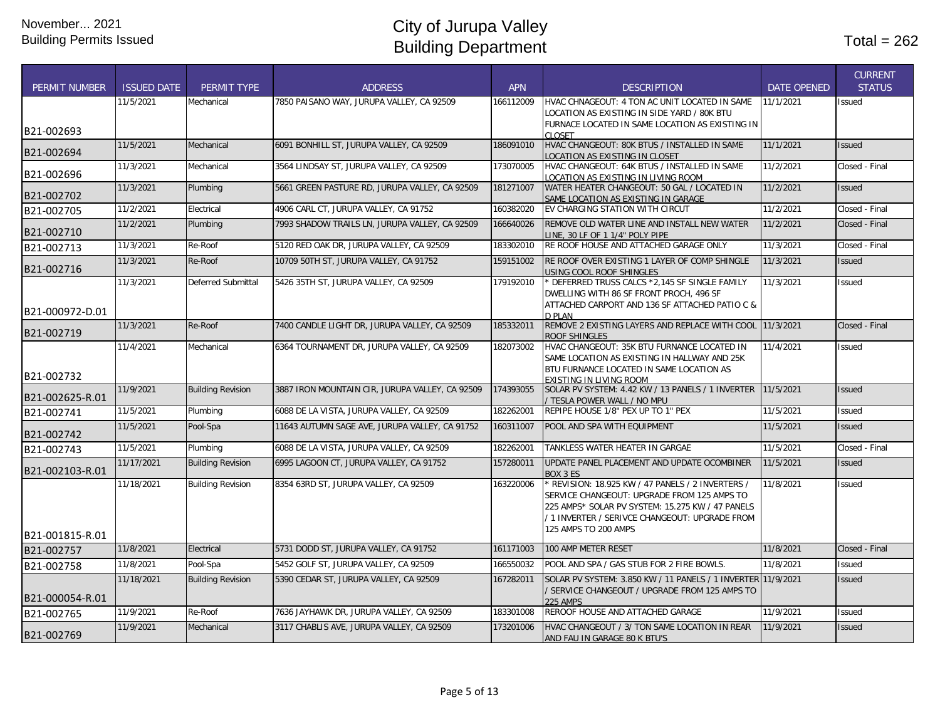| <b>PERMIT NUMBER</b> | <b>ISSUED DATE</b> | <b>PERMIT TYPE</b>       | <b>ADDRESS</b>                                  | APN       | <b>DESCRIPTION</b>                                                                                                                                                                                                             | <b>DATE OPENED</b> | <b>CURRENT</b><br><b>STATUS</b> |
|----------------------|--------------------|--------------------------|-------------------------------------------------|-----------|--------------------------------------------------------------------------------------------------------------------------------------------------------------------------------------------------------------------------------|--------------------|---------------------------------|
|                      | 11/5/2021          | Mechanical               | 7850 PAISANO WAY, JURUPA VALLEY, CA 92509       | 166112009 | HVAC CHNAGEOUT: 4 TON AC UNIT LOCATED IN SAME<br>LOCATION AS EXISTING IN SIDE YARD / 80K BTU                                                                                                                                   | 11/1/2021          | <b>Issued</b>                   |
| B21-002693           |                    |                          |                                                 |           | FURNACE LOCATED IN SAME LOCATION AS EXISTING IN<br>CLOSET                                                                                                                                                                      |                    |                                 |
| B21-002694           | 11/5/2021          | Mechanical               | 6091 BONHILL ST, JURUPA VALLEY, CA 92509        | 186091010 | HVAC CHANGEOUT: 80K BTUS / INSTALLED IN SAME<br>LOCATION AS EXISTING IN CLOSET                                                                                                                                                 | 11/1/2021          | <b>Issued</b>                   |
| B21-002696           | 11/3/2021          | Mechanical               | 3564 LINDSAY ST. JURUPA VALLEY. CA 92509        | 173070005 | HVAC CHANGEOUT: 64K BTUS / INSTALLED IN SAME<br>LOCATION AS EXISTING IN LIVING ROOM                                                                                                                                            | 11/2/2021          | Closed - Final                  |
| B21-002702           | 11/3/2021          | Plumbing                 | 5661 GREEN PASTURE RD, JURUPA VALLEY, CA 92509  | 181271007 | WATER HEATER CHANGEOUT: 50 GAL / LOCATED IN<br>SAME LOCATION AS EXISTING IN GARAGE                                                                                                                                             | 11/2/2021          | <b>Issued</b>                   |
| B21-002705           | 11/2/2021          | Electrical               | 4906 CARL CT, JURUPA VALLEY, CA 91752           | 160382020 | EV CHARGING STATION WITH CIRCUT                                                                                                                                                                                                | 11/2/2021          | Closed - Final                  |
| B21-002710           | 11/2/2021          | Plumbing                 | 7993 SHADOW TRAILS LN, JURUPA VALLEY, CA 92509  | 166640026 | REMOVE OLD WATER LINE AND INSTALL NEW WATER<br>LINE, 30 LF OF 1 1/4" POLY PIPE                                                                                                                                                 | 11/2/2021          | Closed - Final                  |
| B21-002713           | 11/3/2021          | Re-Roof                  | 5120 RED OAK DR, JURUPA VALLEY, CA 92509        | 183302010 | RE ROOF HOUSE AND ATTACHED GARAGE ONLY                                                                                                                                                                                         | 11/3/2021          | Closed - Final                  |
| B21-002716           | 11/3/2021          | Re-Roof                  | 10709 50TH ST, JURUPA VALLEY, CA 91752          | 159151002 | RE ROOF OVER EXISTING 1 LAYER OF COMP SHINGLE<br>USING COOL ROOF SHINGLES                                                                                                                                                      | 11/3/2021          | <b>Issued</b>                   |
|                      | 11/3/2021          | Deferred Submittal       | 5426 35TH ST, JURUPA VALLEY, CA 92509           | 179192010 | * DEFERRED TRUSS CALCS *2,145 SF SINGLE FAMILY<br>DWELLING WITH 86 SF FRONT PROCH, 496 SF<br>ATTACHED CARPORT AND 136 SF ATTACHED PATIO C &                                                                                    | 11/3/2021          | <b>Issued</b>                   |
| B21-000972-D.01      |                    |                          |                                                 |           | D PI AN                                                                                                                                                                                                                        |                    |                                 |
| B21-002719           | 11/3/2021          | Re-Roof                  | 7400 CANDLE LIGHT DR, JURUPA VALLEY, CA 92509   | 185332011 | REMOVE 2 EXISTING LAYERS AND REPLACE WITH COOL 11/3/2021<br>ROOF SHINGLES                                                                                                                                                      |                    | Closed - Final                  |
|                      | 11/4/2021          | Mechanical               | 6364 TOURNAMENT DR, JURUPA VALLEY, CA 92509     | 182073002 | HVAC CHANGEOUT: 35K BTU FURNANCE LOCATED IN<br>SAME LOCATION AS EXISTING IN HALLWAY AND 25K<br>BTU FURNANCE LOCATED IN SAME LOCATION AS                                                                                        | 11/4/2021          | <b>Issued</b>                   |
| B21-002732           | 11/9/2021          |                          | 3887 IRON MOUNTAIN CIR, JURUPA VALLEY, CA 92509 | 174393055 | <b>EXISTING IN LIVING ROOM</b><br>SOLAR PV SYSTEM: 4.42 KW / 13 PANELS / 1 INVERTER 11/5/2021                                                                                                                                  |                    |                                 |
| B21-002625-R.01      |                    | <b>Building Revision</b> |                                                 |           | TESLA POWER WALL / NO MPU                                                                                                                                                                                                      |                    | <b>Issued</b>                   |
| B21-002741           | 11/5/2021          | Plumbing                 | 6088 DE LA VISTA, JURUPA VALLEY, CA 92509       | 182262001 | REPIPE HOUSE 1/8" PEX UP TO 1" PEX                                                                                                                                                                                             | 11/5/2021          | Issued                          |
| B21-002742           | 11/5/2021          | Pool-Spa                 | 11643 AUTUMN SAGE AVE, JURUPA VALLEY, CA 91752  | 160311007 | POOL AND SPA WITH EQUIPMENT                                                                                                                                                                                                    | 11/5/2021          | <b>Issued</b>                   |
| B21-002743           | 11/5/2021          | Plumbing                 | 6088 DE LA VISTA, JURUPA VALLEY, CA 92509       | 182262001 | TANKLESS WATER HEATER IN GARGAE                                                                                                                                                                                                | 11/5/2021          | Closed - Final                  |
| B21-002103-R.01      | 11/17/2021         | <b>Building Revision</b> | 6995 LAGOON CT, JURUPA VALLEY, CA 91752         | 157280011 | UPDATE PANEL PLACEMENT AND UPDATE OCOMBINER<br>BOX 3 ES                                                                                                                                                                        | 11/5/2021          | <b>Issued</b>                   |
| B21-001815-R.01      | 11/18/2021         | <b>Building Revision</b> | 8354 63RD ST. JURUPA VALLEY. CA 92509           | 163220006 | * REVISION: 18.925 KW / 47 PANELS / 2 INVERTERS /<br>SERVICE CHANGEOUT: UPGRADE FROM 125 AMPS TO<br>225 AMPS* SOLAR PV SYSTEM: 15.275 KW / 47 PANELS<br>/ 1 INVERTER / SERIVCE CHANGEOUT: UPGRADE FROM<br>125 AMPS TO 200 AMPS | 11/8/2021          | <b>Issued</b>                   |
| B21-002757           | 11/8/2021          | Electrical               | 5731 DODD ST, JURUPA VALLEY, CA 91752           | 161171003 | 100 AMP METER RESET                                                                                                                                                                                                            | 11/8/2021          | Closed - Final                  |
| B21-002758           | 11/8/2021          | Pool-Spa                 | 5452 GOLF ST, JURUPA VALLEY, CA 92509           | 166550032 | POOL AND SPA / GAS STUB FOR 2 FIRE BOWLS.                                                                                                                                                                                      | 11/8/2021          | Issued                          |
| B21-000054-R.01      | 11/18/2021         | <b>Building Revision</b> | 5390 CEDAR ST, JURUPA VALLEY, CA 92509          | 167282011 | SOLAR PV SYSTEM: 3.850 KW / 11 PANELS / 1 INVERTER 11/9/2021<br>/ SERVICE CHANGEOUT / UPGRADE FROM 125 AMPS TO<br>225 AMPS                                                                                                     |                    | <b>Issued</b>                   |
| B21-002765           | 11/9/2021          | Re-Roof                  | 7636 JAYHAWK DR. JURUPA VALLEY. CA 92509        | 183301008 | REROOF HOUSE AND ATTACHED GARAGE                                                                                                                                                                                               | 11/9/2021          | <b>Issued</b>                   |
| B21-002769           | 11/9/2021          | Mechanical               | 3117 CHABLIS AVE, JURUPA VALLEY, CA 92509       | 173201006 | HVAC CHANGEOUT / 3/ TON SAME LOCATION IN REAR<br>AND FAU IN GARAGE 80 K BTU'S                                                                                                                                                  | 11/9/2021          | <b>Issued</b>                   |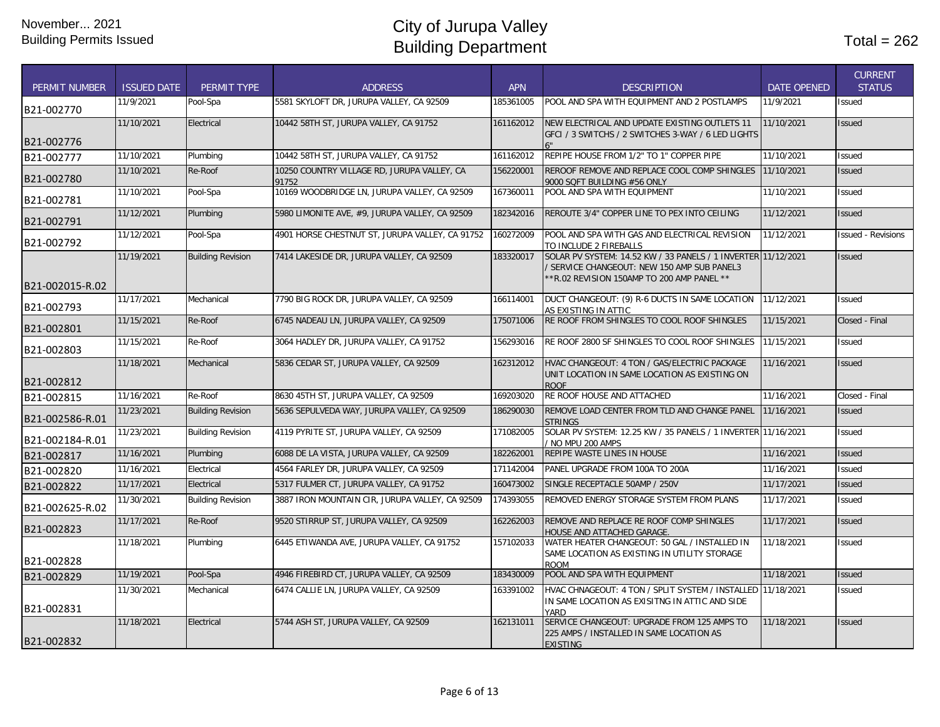| <b>PERMIT NUMBER</b> | <b>ISSUED DATE</b> | <b>PERMIT TYPE</b>       | <b>ADDRESS</b>                                       | <b>APN</b> | <b>DESCRIPTION</b>                                                                                                                                      | <b>DATE OPENED</b> | <b>CURRENT</b><br><b>STATUS</b> |
|----------------------|--------------------|--------------------------|------------------------------------------------------|------------|---------------------------------------------------------------------------------------------------------------------------------------------------------|--------------------|---------------------------------|
| B21-002770           | 11/9/2021          | Pool-Spa                 | 5581 SKYLOFT DR, JURUPA VALLEY, CA 92509             | 185361005  | POOL AND SPA WITH EQUIPMENT AND 2 POSTLAMPS                                                                                                             | 11/9/2021          | <b>Issued</b>                   |
| B21-002776           | 11/10/2021         | Electrical               | 10442 58TH ST, JURUPA VALLEY, CA 91752               | 161162012  | NEW ELECTRICAL AND UPDATE EXISTING OUTLETS 11<br>GFCI / 3 SWITCHS / 2 SWITCHES 3-WAY / 6 LED LIGHTS                                                     | 11/10/2021         | <b>Issued</b>                   |
| B21-002777           | 11/10/2021         | Plumbing                 | 10442 58TH ST, JURUPA VALLEY, CA 91752               | 161162012  | REPIPE HOUSE FROM 1/2" TO 1" COPPER PIPE                                                                                                                | 11/10/2021         | <b>Issued</b>                   |
| B21-002780           | 11/10/2021         | Re-Roof                  | 10250 COUNTRY VILLAGE RD. JURUPA VALLEY. CA<br>91752 | 156220001  | REROOF REMOVE AND REPLACE COOL COMP SHINGLES<br>9000 SQFT BUILDING #56 ONLY                                                                             | 11/10/2021         | <b>Issued</b>                   |
| B21-002781           | 11/10/2021         | Pool-Spa                 | 10169 WOODBRIDGE LN, JURUPA VALLEY, CA 92509         | 167360011  | POOL AND SPA WITH EQUIPMENT                                                                                                                             | 11/10/2021         | <b>Issued</b>                   |
| B21-002791           | 11/12/2021         | Plumbing                 | 5980 LIMONITE AVE, #9, JURUPA VALLEY, CA 92509       | 182342016  | REROUTE 3/4" COPPER LINE TO PEX INTO CEILING                                                                                                            | 11/12/2021         | <b>Issued</b>                   |
| B21-002792           | 11/12/2021         | Pool-Spa                 | 4901 HORSE CHESTNUT ST, JURUPA VALLEY, CA 91752      | 160272009  | POOL AND SPA WITH GAS AND ELECTRICAL REVISION<br>TO INCLUDE 2 FIREBALLS                                                                                 | 11/12/2021         | <b>Issued - Revisions</b>       |
| B21-002015-R.02      | 11/19/2021         | <b>Building Revision</b> | 7414 LAKESIDE DR, JURUPA VALLEY, CA 92509            | 183320017  | SOLAR PV SYSTEM: 14.52 KW / 33 PANELS / 1 INVERTER 11/12/2021<br>SERVICE CHANGEOUT: NEW 150 AMP SUB PANEL3<br>*R.02 REVISION 150AMP TO 200 AMP PANEL ** |                    | <b>Issued</b>                   |
| B21-002793           | 11/17/2021         | Mechanical               | 7790 BIG ROCK DR, JURUPA VALLEY, CA 92509            | 166114001  | DUCT CHANGEOUT: (9) R-6 DUCTS IN SAME LOCATION<br>AS EXISTING IN ATTIC                                                                                  | 11/12/2021         | <b>Issued</b>                   |
| B21-002801           | 11/15/2021         | Re-Roof                  | 6745 NADEAU LN, JURUPA VALLEY, CA 92509              | 175071006  | RE ROOF FROM SHINGLES TO COOL ROOF SHINGLES                                                                                                             | 11/15/2021         | Closed - Final                  |
| B21-002803           | 11/15/2021         | Re-Roof                  | 3064 HADLEY DR, JURUPA VALLEY, CA 91752              | 156293016  | RE ROOF 2800 SF SHINGLES TO COOL ROOF SHINGLES                                                                                                          | 11/15/2021         | <b>Issued</b>                   |
| B21-002812           | 11/18/2021         | Mechanical               | 5836 CEDAR ST, JURUPA VALLEY, CA 92509               | 162312012  | HVAC CHANGEOUT: 4 TON / GAS/ELECTRIC PACKAGE<br>UNIT LOCATION IN SAME LOCATION AS EXISTING ON<br><b>ROOF</b>                                            | 11/16/2021         | <b>Issued</b>                   |
| B21-002815           | 11/16/2021         | Re-Roof                  | 8630 45TH ST, JURUPA VALLEY, CA 92509                | 169203020  | RE ROOF HOUSE AND ATTACHED                                                                                                                              | 11/16/2021         | Closed - Final                  |
| B21-002586-R.01      | 11/23/2021         | <b>Building Revision</b> | 5636 SEPULVEDA WAY, JURUPA VALLEY, CA 92509          | 186290030  | REMOVE LOAD CENTER FROM TLD AND CHANGE PANEL<br><b>STRINGS</b>                                                                                          | 11/16/2021         | <b>Issued</b>                   |
| B21-002184-R.01      | 11/23/2021         | <b>Building Revision</b> | 4119 PYRITE ST, JURUPA VALLEY, CA 92509              | 171082005  | SOLAR PV SYSTEM: 12.25 KW / 35 PANELS / 1 INVERTER 11/16/2021<br>/ NO MPU 200 AMPS                                                                      |                    | <b>Issued</b>                   |
| B21-002817           | 11/16/2021         | Plumbing                 | 6088 DE LA VISTA, JURUPA VALLEY, CA 92509            | 182262001  | REPIPE WASTE LINES IN HOUSE                                                                                                                             | 11/16/2021         | <b>Issued</b>                   |
| B21-002820           | 11/16/2021         | Electrical               | 4564 FARLEY DR, JURUPA VALLEY, CA 92509              | 171142004  | PANEL UPGRADE FROM 100A TO 200A                                                                                                                         | 11/16/2021         | <b>Issued</b>                   |
| B21-002822           | 11/17/2021         | Electrical               | 5317 FULMER CT, JURUPA VALLEY, CA 91752              | 160473002  | SINGLE RECEPTACLE 50AMP / 250V                                                                                                                          | 11/17/2021         | <b>Issued</b>                   |
| B21-002625-R.02      | 11/30/2021         | <b>Building Revision</b> | 3887 IRON MOUNTAIN CIR, JURUPA VALLEY, CA 92509      | 174393055  | REMOVED ENERGY STORAGE SYSTEM FROM PLANS                                                                                                                | 11/17/2021         | <b>Issued</b>                   |
| B21-002823           | 11/17/2021         | Re-Roof                  | 9520 STIRRUP ST, JURUPA VALLEY, CA 92509             | 162262003  | REMOVE AND REPLACE RE ROOF COMP SHINGLES<br>HOUSE AND ATTACHED GARAGE.                                                                                  | 11/17/2021         | <b>Issued</b>                   |
| B21-002828           | 11/18/2021         | Plumbing                 | 6445 ETIWANDA AVE, JURUPA VALLEY, CA 91752           | 157102033  | WATER HEATER CHANGEOUT: 50 GAL / INSTALLED IN<br>SAME LOCATION AS EXISTING IN UTILITY STORAGE<br>ROOM                                                   | 11/18/2021         | <b>Issued</b>                   |
| B21-002829           | 11/19/2021         | Pool-Spa                 | 4946 FIREBIRD CT, JURUPA VALLEY, CA 92509            | 183430009  | POOL AND SPA WITH EQUIPMENT                                                                                                                             | 11/18/2021         | <b>Issued</b>                   |
| B21-002831           | 11/30/2021         | Mechanical               | 6474 CALLIE LN, JURUPA VALLEY, CA 92509              | 163391002  | HVAC CHNAGEOUT: 4 TON / SPLIT SYSTEM / INSTALLED 11/18/2021<br>IN SAME LOCATION AS EXISITNG IN ATTIC AND SIDE<br>YARD                                   |                    | Issued                          |
| B21-002832           | 11/18/2021         | Electrical               | 5744 ASH ST, JURUPA VALLEY, CA 92509                 | 162131011  | SERVICE CHANGEOUT: UPGRADE FROM 125 AMPS TO<br>225 AMPS / INSTALLED IN SAME LOCATION AS<br><b>EXISTING</b>                                              | 11/18/2021         | <b>Issued</b>                   |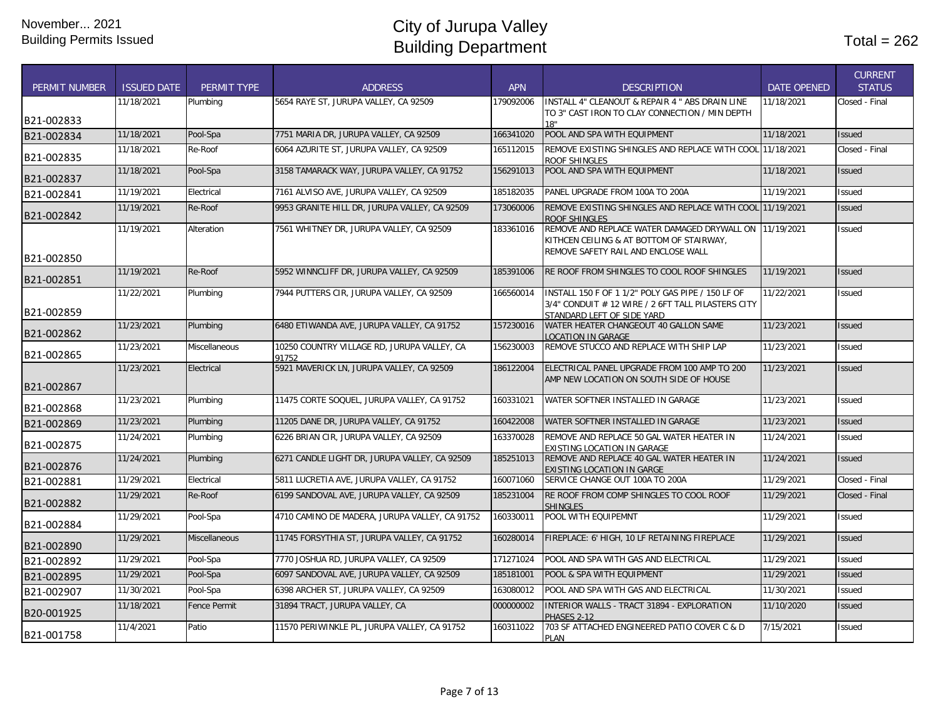| <b>PERMIT NUMBER</b> | <b>ISSUED DATE</b> | PERMIT TYPE          | <b>ADDRESS</b>                                       | <b>APN</b> | <b>DESCRIPTION</b>                                                                                                                        | <b>DATE OPENED</b> | <b>CURRENT</b><br><b>STATUS</b> |
|----------------------|--------------------|----------------------|------------------------------------------------------|------------|-------------------------------------------------------------------------------------------------------------------------------------------|--------------------|---------------------------------|
|                      | 11/18/2021         | Plumbing             | 5654 RAYE ST, JURUPA VALLEY, CA 92509                | 179092006  | INSTALL 4" CLEANOUT & REPAIR 4 " ABS DRAIN LINE<br>TO 3" CAST IRON TO CLAY CONNECTION / MIN DEPTH                                         | 11/18/2021         | Closed - Final                  |
| B21-002833           |                    |                      |                                                      |            | 18"                                                                                                                                       |                    |                                 |
| B21-002834           | 11/18/2021         | Pool-Spa             | 7751 MARIA DR. JURUPA VALLEY. CA 92509               | 166341020  | POOL AND SPA WITH EQUIPMENT                                                                                                               | 11/18/2021         | <b>Issued</b>                   |
| B21-002835           | 11/18/2021         | Re-Roof              | 6064 AZURITE ST. JURUPA VALLEY. CA 92509             | 165112015  | REMOVE EXISTING SHINGLES AND REPLACE WITH COOL 11/18/2021<br>ROOF SHINGLES                                                                |                    | Closed - Final                  |
| B21-002837           | 11/18/2021         | Pool-Spa             | 3158 TAMARACK WAY, JURUPA VALLEY, CA 91752           | 156291013  | POOL AND SPA WITH EQUIPMENT                                                                                                               | 11/18/2021         | <b>Issued</b>                   |
| B21-002841           | 11/19/2021         | Electrical           | 7161 ALVISO AVE, JURUPA VALLEY, CA 92509             | 185182035  | PANEL UPGRADE FROM 100A TO 200A                                                                                                           | 11/19/2021         | Issued                          |
| B21-002842           | 11/19/2021         | Re-Roof              | 9953 GRANITE HILL DR. JURUPA VALLEY, CA 92509        | 173060006  | REMOVE EXISTING SHINGLES AND REPLACE WITH COOL 11/19/2021<br><b>ROOF SHINGLES</b>                                                         |                    | <b>Issued</b>                   |
| B21-002850           | 11/19/2021         | Alteration           | 7561 WHITNEY DR, JURUPA VALLEY, CA 92509             | 183361016  | REMOVE AND REPLACE WATER DAMAGED DRYWALL ON 11/19/2021<br>KITHCEN CEILING & AT BOTTOM OF STAIRWAY.<br>REMOVE SAFETY RAIL AND ENCLOSE WALL |                    | Issued                          |
| B21-002851           | 11/19/2021         | Re-Roof              | 5952 WINNCLIFF DR, JURUPA VALLEY, CA 92509           | 185391006  | RE ROOF FROM SHINGLES TO COOL ROOF SHINGLES                                                                                               | 11/19/2021         | Issued                          |
| B21-002859           | 11/22/2021         | Plumbing             | 7944 PUTTERS CIR, JURUPA VALLEY, CA 92509            | 166560014  | INSTALL 150 F OF 1 1/2" POLY GAS PIPE / 150 LF OF<br>3/4" CONDUIT # 12 WIRE / 2 6FT TALL PILASTERS CITY<br>STANDARD LEFT OF SIDE YARD     | 11/22/2021         | Issued                          |
| B21-002862           | 11/23/2021         | Plumbing             | 6480 ETIWANDA AVE, JURUPA VALLEY, CA 91752           | 157230016  | WATER HEATER CHANGEOUT 40 GALLON SAME<br><b>LOCATION IN GARAGE</b>                                                                        | 11/23/2021         | <b>Issued</b>                   |
| B21-002865           | 11/23/2021         | Miscellaneous        | 10250 COUNTRY VILLAGE RD, JURUPA VALLEY, CA<br>91752 | 156230003  | REMOVE STUCCO AND REPLACE WITH SHIP LAP                                                                                                   | 11/23/2021         | <b>Issued</b>                   |
| B21-002867           | 11/23/2021         | Electrical           | 5921 MAVERICK LN, JURUPA VALLEY, CA 92509            | 186122004  | ELECTRICAL PANEL UPGRADE FROM 100 AMP TO 200<br>AMP NEW LOCATION ON SOUTH SIDE OF HOUSE                                                   | 11/23/2021         | <b>Issued</b>                   |
| B21-002868           | 11/23/2021         | Plumbing             | 11475 CORTE SOQUEL, JURUPA VALLEY, CA 91752          | 160331021  | WATER SOFTNER INSTALLED IN GARAGE                                                                                                         | 11/23/2021         | Issued                          |
| B21-002869           | 11/23/2021         | Plumbing             | 11205 DANE DR, JURUPA VALLEY, CA 91752               | 160422008  | WATER SOFTNER INSTALLED IN GARAGE                                                                                                         | 11/23/2021         | <b>Issued</b>                   |
| B21-002875           | 11/24/2021         | Plumbing             | 6226 BRIAN CIR, JURUPA VALLEY, CA 92509              | 163370028  | REMOVE AND REPLACE 50 GAL WATER HEATER IN<br>EXISTING LOCATION IN GARAGE                                                                  | 11/24/2021         | <b>Issued</b>                   |
| B21-002876           | 11/24/2021         | Plumbing             | 6271 CANDLE LIGHT DR, JURUPA VALLEY, CA 92509        | 185251013  | REMOVE AND REPLACE 40 GAL WATER HEATER IN<br>EXISTING LOCATION IN GARGE                                                                   | 11/24/2021         | <b>Issued</b>                   |
| B21-002881           | 11/29/2021         | Electrical           | 5811 LUCRETIA AVE, JURUPA VALLEY, CA 91752           | 160071060  | SERVICE CHANGE OUT 100A TO 200A                                                                                                           | 11/29/2021         | Closed - Final                  |
| B21-002882           | 11/29/2021         | Re-Roof              | 6199 SANDOVAL AVE, JURUPA VALLEY, CA 92509           | 185231004  | RE ROOF FROM COMP SHINGLES TO COOL ROOF<br><b>SHINGLES</b>                                                                                | 11/29/2021         | Closed - Final                  |
| B21-002884           | 11/29/2021         | Pool-Spa             | 4710 CAMINO DE MADERA, JURUPA VALLEY, CA 91752       | 160330011  | POOL WITH EQUIPEMNT                                                                                                                       | 11/29/2021         | <b>Issued</b>                   |
| B21-002890           | 11/29/2021         | <b>Miscellaneous</b> | 11745 FORSYTHIA ST. JURUPA VALLEY. CA 91752          | 160280014  | FIREPLACE: 6' HIGH, 10 LF RETAINING FIREPLACE                                                                                             | 11/29/2021         | <b>Issued</b>                   |
| B21-002892           | 11/29/2021         | Pool-Spa             | 7770 JOSHUA RD, JURUPA VALLEY, CA 92509              | 171271024  | POOL AND SPA WITH GAS AND ELECTRICAL                                                                                                      | 11/29/2021         | <b>Issued</b>                   |
| B21-002895           | 11/29/2021         | Pool-Spa             | 6097 SANDOVAL AVE, JURUPA VALLEY, CA 92509           | 185181001  | POOL & SPA WITH EQUIPMENT                                                                                                                 | 11/29/2021         | Issued                          |
| B21-002907           | 11/30/2021         | Pool-Spa             | 6398 ARCHER ST, JURUPA VALLEY, CA 92509              | 163080012  | POOL AND SPA WITH GAS AND ELECTRICAL                                                                                                      | 11/30/2021         | <b>Issued</b>                   |
| B20-001925           | 11/18/2021         | Fence Permit         | 31894 TRACT, JURUPA VALLEY, CA                       | 000000002  | INTERIOR WALLS - TRACT 31894 - EXPLORATION<br>PHASES 2-12                                                                                 | 11/10/2020         | Issued                          |
| B21-001758           | 11/4/2021          | Patio                | 11570 PERIWINKLE PL, JURUPA VALLEY, CA 91752         | 160311022  | 703 SF ATTACHED ENGINEERED PATIO COVER C & D<br><b>PLAN</b>                                                                               | 7/15/2021          | Issued                          |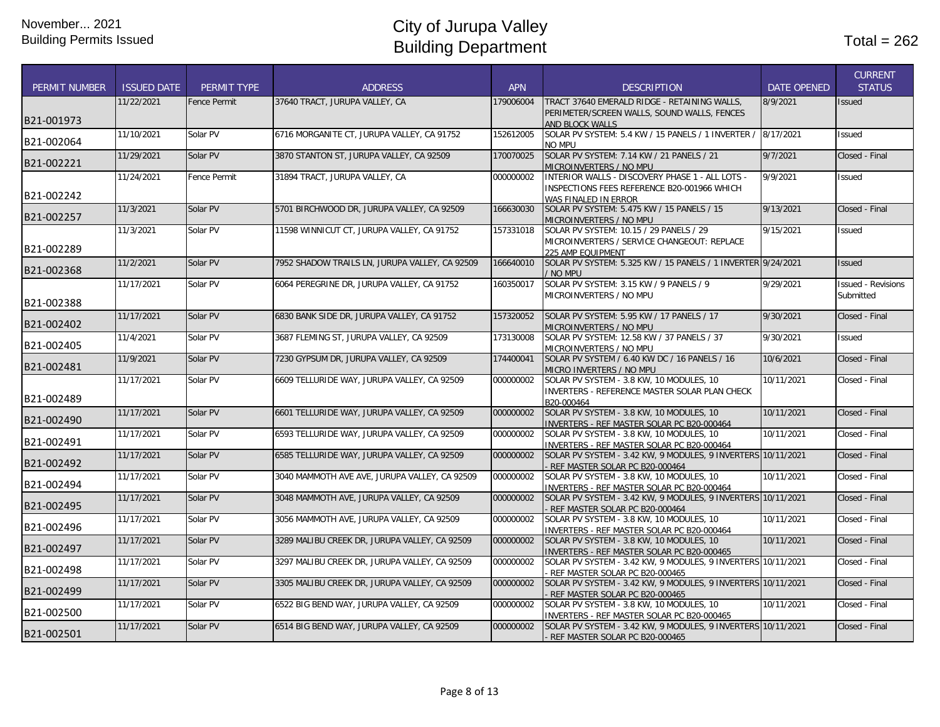|                      |                    |                     |                                                |            |                                                                                                |                    | <b>CURRENT</b>            |
|----------------------|--------------------|---------------------|------------------------------------------------|------------|------------------------------------------------------------------------------------------------|--------------------|---------------------------|
| <b>PERMIT NUMBER</b> | <b>ISSUED DATE</b> | PERMIT TYPE         | <b>ADDRESS</b>                                 | <b>APN</b> | <b>DESCRIPTION</b>                                                                             | <b>DATE OPENED</b> | <b>STATUS</b>             |
|                      | 11/22/2021         | <b>Fence Permit</b> | 37640 TRACT, JURUPA VALLEY, CA                 | 179006004  | TRACT 37640 EMERALD RIDGE - RETAINING WALLS.                                                   | 8/9/2021           | Issued                    |
| B21-001973           |                    |                     |                                                |            | PERIMETER/SCREEN WALLS, SOUND WALLS, FENCES                                                    |                    |                           |
|                      |                    |                     |                                                |            | AND BLOCK WALLS                                                                                |                    |                           |
| B21-002064           | 11/10/2021         | Solar PV            | 6716 MORGANITE CT, JURUPA VALLEY, CA 91752     | 152612005  | SOLAR PV SYSTEM: 5.4 KW / 15 PANELS / 1 INVERTER /<br>no mpu                                   | 8/17/2021          | <b>Issued</b>             |
|                      | 11/29/2021         | Solar PV            | 3870 STANTON ST, JURUPA VALLEY, CA 92509       | 170070025  | SOLAR PV SYSTEM: 7.14 KW / 21 PANELS / 21                                                      | 9/7/2021           | Closed - Final            |
| B21-002221           |                    |                     |                                                |            | MICROINVERTERS / NO MPU                                                                        |                    |                           |
|                      | 11/24/2021         | <b>Fence Permit</b> | 31894 TRACT. JURUPA VALLEY. CA                 | 000000002  | INTERIOR WALLS - DISCOVERY PHASE 1 - ALL LOTS -                                                | 9/9/2021           | <b>Issued</b>             |
|                      |                    |                     |                                                |            | INSPECTIONS FEES REFERENCE B20-001966 WHICH                                                    |                    |                           |
| B21-002242           |                    |                     |                                                |            | WAS FINALED IN ERROR                                                                           |                    |                           |
| B21-002257           | 11/3/2021          | Solar PV            | 5701 BIRCHWOOD DR, JURUPA VALLEY, CA 92509     | 166630030  | SOLAR PV SYSTEM: 5.475 KW / 15 PANELS / 15                                                     | 9/13/2021          | Closed - Final            |
|                      | 11/3/2021          | Solar PV            | 11598 WINNICUT CT. JURUPA VALLEY. CA 91752     | 157331018  | MICROINVERTERS / NO MPU<br>SOLAR PV SYSTEM: 10.15 / 29 PANELS / 29                             | 9/15/2021          |                           |
|                      |                    |                     |                                                |            | MICROINVERTERS / SERVICE CHANGEOUT: REPLACE                                                    |                    | <b>Issued</b>             |
| B21-002289           |                    |                     |                                                |            | 225 AMP EQUIPMENT                                                                              |                    |                           |
|                      | 11/2/2021          | Solar PV            | 7952 SHADOW TRAILS LN, JURUPA VALLEY, CA 92509 | 166640010  | SOLAR PV SYSTEM: 5.325 KW / 15 PANELS / 1 INVERTER 9/24/2021                                   |                    | <b>Issued</b>             |
| B21-002368           |                    |                     |                                                |            | / NO MPU                                                                                       |                    |                           |
|                      | 11/17/2021         | Solar PV            | 6064 PEREGRINE DR, JURUPA VALLEY, CA 91752     | 160350017  | SOLAR PV SYSTEM: 3.15 KW / 9 PANELS / 9                                                        | 9/29/2021          | <b>Issued - Revisions</b> |
|                      |                    |                     |                                                |            | MICROINVERTERS / NO MPU                                                                        |                    | Submitted                 |
| B21-002388           |                    |                     |                                                |            |                                                                                                |                    |                           |
| B21-002402           | 11/17/2021         | Solar PV            | 6830 BANK SIDE DR, JURUPA VALLEY, CA 91752     | 157320052  | SOLAR PV SYSTEM: 5.95 KW / 17 PANELS / 17                                                      | 9/30/2021          | Closed - Final            |
|                      | 11/4/2021          | Solar PV            | 3687 FLEMING ST, JURUPA VALLEY, CA 92509       | 173130008  | MICROINVERTERS / NO MPU<br>SOLAR PV SYSTEM: 12.58 KW / 37 PANELS / 37                          | 9/30/2021          | <b>Issued</b>             |
| B21-002405           |                    |                     |                                                |            | MICROINVERTERS / NO MPU                                                                        |                    |                           |
|                      | 11/9/2021          | Solar PV            | 7230 GYPSUM DR, JURUPA VALLEY, CA 92509        | 174400041  | SOLAR PV SYSTEM / 6.40 KW DC / 16 PANELS / 16                                                  | 10/6/2021          | Closed - Final            |
| B21-002481           |                    |                     |                                                |            | MICRO INVERTERS / NO MPU                                                                       |                    |                           |
|                      | 11/17/2021         | Solar PV            | 6609 TELLURIDE WAY, JURUPA VALLEY, CA 92509    | 000000002  | SOLAR PV SYSTEM - 3.8 KW, 10 MODULES, 10                                                       | 10/11/2021         | Closed - Final            |
| B21-002489           |                    |                     |                                                |            | INVERTERS - REFERENCE MASTER SOLAR PLAN CHECK                                                  |                    |                           |
|                      |                    |                     |                                                |            | B20-000464                                                                                     |                    |                           |
| B21-002490           | 11/17/2021         | Solar PV            | 6601 TELLURIDE WAY, JURUPA VALLEY, CA 92509    | 000000002  | SOLAR PV SYSTEM - 3.8 KW, 10 MODULES, 10<br>INVERTERS - REF MASTER SOLAR PC B20-000464         | 10/11/2021         | Closed - Final            |
|                      | 11/17/2021         | Solar PV            | 6593 TELLURIDE WAY, JURUPA VALLEY, CA 92509    | 000000002  | SOLAR PV SYSTEM - 3.8 KW, 10 MODULES, 10                                                       | 10/11/2021         | Closed - Final            |
| B21-002491           |                    |                     |                                                |            | INVERTERS - REF MASTER SOLAR PC B20-000464                                                     |                    |                           |
|                      | 11/17/2021         | Solar PV            | 6585 TELLURIDE WAY, JURUPA VALLEY, CA 92509    | 000000002  | SOLAR PV SYSTEM - 3.42 KW, 9 MODULES, 9 INVERTERS 10/11/2021                                   |                    | Closed - Final            |
| B21-002492           |                    |                     |                                                |            | REF MASTER SOLAR PC B20-000464                                                                 |                    |                           |
| B21-002494           | 11/17/2021         | Solar PV            | 3040 MAMMOTH AVE AVE, JURUPA VALLEY, CA 92509  | 000000002  | SOLAR PV SYSTEM - 3.8 KW, 10 MODULES, 10                                                       | 10/11/2021         | Closed - Final            |
|                      |                    |                     |                                                |            | INVERTERS - REF MASTER SOLAR PC B20-000464                                                     |                    |                           |
| B21-002495           | 11/17/2021         | Solar PV            | 3048 MAMMOTH AVE, JURUPA VALLEY, CA 92509      | 000000002  | SOLAR PV SYSTEM - 3.42 KW, 9 MODULES, 9 INVERTERS 10/11/2021<br>REF MASTER SOLAR PC B20-000464 |                    | Closed - Final            |
|                      | 11/17/2021         | Solar PV            | 3056 MAMMOTH AVE, JURUPA VALLEY, CA 92509      | 000000002  | SOLAR PV SYSTEM - 3.8 KW, 10 MODULES, 10                                                       | 10/11/2021         | Closed - Final            |
| B21-002496           |                    |                     |                                                |            | INVERTERS - REF MASTER SOLAR PC B20-000464                                                     |                    |                           |
|                      | 11/17/2021         | Solar PV            | 3289 MALIBU CREEK DR, JURUPA VALLEY, CA 92509  | 000000002  | SOLAR PV SYSTEM - 3.8 KW, 10 MODULES, 10                                                       | 10/11/2021         | Closed - Final            |
| B21-002497           |                    |                     |                                                |            | <b>INVERTERS - REF MASTER SOLAR PC B20-000465</b>                                              |                    |                           |
|                      | 11/17/2021         | Solar PV            | 3297 MALIBU CREEK DR. JURUPA VALLEY, CA 92509  | 000000002  | SOLAR PV SYSTEM - 3.42 KW, 9 MODULES, 9 INVERTERS 10/11/2021                                   |                    | Closed - Final            |
| B21-002498           |                    |                     |                                                |            | REF MASTER SOLAR PC B20-000465                                                                 |                    |                           |
| B21-002499           | 11/17/2021         | Solar PV            | 3305 MALIBU CREEK DR, JURUPA VALLEY, CA 92509  | 000000002  | SOLAR PV SYSTEM - 3.42 KW, 9 MODULES, 9 INVERTERS 10/11/2021                                   |                    | Closed - Final            |
|                      | 11/17/2021         | Solar PV            | 6522 BIG BEND WAY, JURUPA VALLEY, CA 92509     | 000000002  | REF MASTER SOLAR PC B20-000465<br>SOLAR PV SYSTEM - 3.8 KW, 10 MODULES, 10                     | 10/11/2021         | Closed - Final            |
| B21-002500           |                    |                     |                                                |            | INVERTERS - REF MASTER SOLAR PC B20-000465                                                     |                    |                           |
|                      | 11/17/2021         | Solar PV            | 6514 BIG BEND WAY, JURUPA VALLEY, CA 92509     | 000000002  | SOLAR PV SYSTEM - 3.42 KW, 9 MODULES, 9 INVERTERS 10/11/2021                                   |                    | Closed - Final            |
| B21-002501           |                    |                     |                                                |            | - REF MASTER SOLAR PC B20-000465                                                               |                    |                           |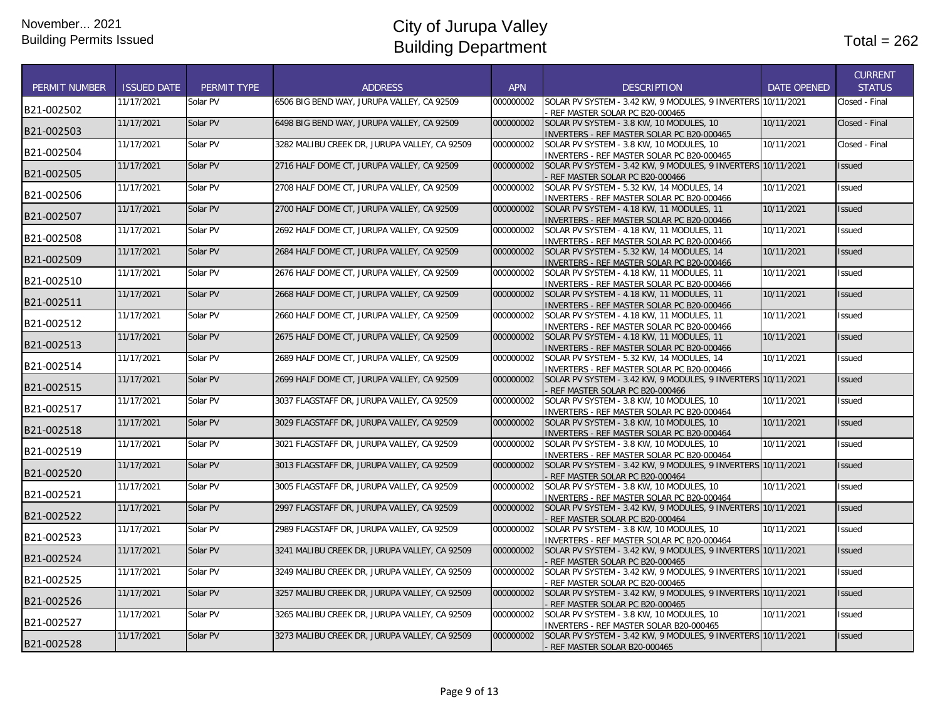|                      |                    |                    |                                               |            |                                                                                                  |                    | <b>CURRENT</b> |
|----------------------|--------------------|--------------------|-----------------------------------------------|------------|--------------------------------------------------------------------------------------------------|--------------------|----------------|
| <b>PERMIT NUMBER</b> | <b>ISSUED DATE</b> | <b>PERMIT TYPE</b> | <b>ADDRESS</b>                                | <b>APN</b> | <b>DESCRIPTION</b>                                                                               | <b>DATE OPENED</b> | <b>STATUS</b>  |
| B21-002502           | 11/17/2021         | Solar PV           | 6506 BIG BEND WAY, JURUPA VALLEY, CA 92509    | 000000002  | SOLAR PV SYSTEM - 3.42 KW, 9 MODULES, 9 INVERTERS 10/11/2021<br>REF MASTER SOLAR PC B20-000465   |                    | Closed - Final |
| B21-002503           | 11/17/2021         | Solar PV           | 6498 BIG BEND WAY, JURUPA VALLEY, CA 92509    | 000000002  | SOLAR PV SYSTEM - 3.8 KW, 10 MODULES, 10<br>INVERTERS - REF MASTER SOLAR PC B20-000465           | 10/11/2021         | Closed - Final |
| B21-002504           | 11/17/2021         | Solar PV           | 3282 MALIBU CREEK DR, JURUPA VALLEY, CA 92509 | 000000002  | SOLAR PV SYSTEM - 3.8 KW, 10 MODULES, 10<br>INVERTERS - REF MASTER SOLAR PC B20-000465           | 10/11/2021         | Closed - Final |
| B21-002505           | 11/17/2021         | Solar PV           | 2716 HALF DOME CT, JURUPA VALLEY, CA 92509    | 000000002  | SOLAR PV SYSTEM - 3.42 KW, 9 MODULES, 9 INVERTERS 10/11/2021<br>REF MASTER SOLAR PC B20-000466   |                    | <b>Issued</b>  |
| B21-002506           | 11/17/2021         | Solar PV           | 2708 HALF DOME CT, JURUPA VALLEY, CA 92509    | 000000002  | SOLAR PV SYSTEM - 5.32 KW, 14 MODULES, 14<br>INVERTERS - REF MASTER SOLAR PC B20-000466          | 10/11/2021         | Issued         |
| B21-002507           | 11/17/2021         | Solar PV           | 2700 HALF DOME CT, JURUPA VALLEY, CA 92509    | 000000002  | SOLAR PV SYSTEM - 4.18 KW, 11 MODULES, 11<br>INVERTERS - REF MASTER SOLAR PC B20-000466          | 10/11/2021         | <b>Issued</b>  |
| B21-002508           | 11/17/2021         | Solar PV           | 2692 HALF DOME CT, JURUPA VALLEY, CA 92509    | 000000002  | SOLAR PV SYSTEM - 4.18 KW, 11 MODULES, 11<br>INVERTERS - REF MASTER SOLAR PC B20-000466          | 10/11/2021         | <b>Issued</b>  |
| B21-002509           | 11/17/2021         | Solar PV           | 2684 HALF DOME CT, JURUPA VALLEY, CA 92509    | 000000002  | SOLAR PV SYSTEM - 5.32 KW, 14 MODULES, 14<br>INVERTERS - REF MASTER SOLAR PC B20-000466          | 10/11/2021         | <b>Issued</b>  |
| B21-002510           | 11/17/2021         | Solar PV           | 2676 HALF DOME CT, JURUPA VALLEY, CA 92509    | 000000002  | SOLAR PV SYSTEM - 4.18 KW, 11 MODULES, 11<br>INVERTERS - REF MASTER SOLAR PC B20-000466          | 10/11/2021         | Issued         |
| B21-002511           | 11/17/2021         | Solar PV           | 2668 HALF DOME CT, JURUPA VALLEY, CA 92509    | 000000002  | SOLAR PV SYSTEM - 4.18 KW, 11 MODULES, 11<br>INVERTERS - REF MASTER SOLAR PC B20-000466          | 10/11/2021         | <b>Issued</b>  |
| B21-002512           | 11/17/2021         | Solar PV           | 2660 HALF DOME CT. JURUPA VALLEY. CA 92509    | 000000002  | SOLAR PV SYSTEM - 4.18 KW, 11 MODULES, 11<br>INVERTERS - REF MASTER SOLAR PC B20-000466          | 10/11/2021         | <b>Issued</b>  |
| B21-002513           | 11/17/2021         | Solar PV           | 2675 HALF DOME CT, JURUPA VALLEY, CA 92509    | 000000002  | SOLAR PV SYSTEM - 4.18 KW, 11 MODULES, 11<br>INVERTERS - REF MASTER SOLAR PC B20-000466          | 10/11/2021         | Issued         |
| B21-002514           | 11/17/2021         | Solar PV           | 2689 HALF DOME CT, JURUPA VALLEY, CA 92509    | 000000002  | SOLAR PV SYSTEM - 5.32 KW, 14 MODULES, 14<br>INVERTERS - REF MASTER SOLAR PC B20-000466          | 10/11/2021         | <b>Issued</b>  |
| B21-002515           | 11/17/2021         | Solar PV           | 2699 HALF DOME CT, JURUPA VALLEY, CA 92509    | 000000002  | SOLAR PV SYSTEM - 3.42 KW, 9 MODULES, 9 INVERTERS 10/11/2021<br>- REF MASTER SOLAR PC B20-000466 |                    | <b>Issued</b>  |
| B21-002517           | 11/17/2021         | Solar PV           | 3037 FLAGSTAFF DR. JURUPA VALLEY. CA 92509    | 000000002  | SOLAR PV SYSTEM - 3.8 KW, 10 MODULES, 10<br>INVERTERS - REF MASTER SOLAR PC B20-000464           | 10/11/2021         | Issued         |
| B21-002518           | 11/17/2021         | Solar PV           | 3029 FLAGSTAFF DR, JURUPA VALLEY, CA 92509    | 000000002  | SOLAR PV SYSTEM - 3.8 KW, 10 MODULES, 10<br>INVERTERS - REF MASTER SOLAR PC B20-000464           | 10/11/2021         | Issued         |
| B21-002519           | 11/17/2021         | Solar PV           | 3021 FLAGSTAFF DR, JURUPA VALLEY, CA 92509    | 000000002  | SOLAR PV SYSTEM - 3.8 KW, 10 MODULES, 10<br>INVERTERS - REF MASTER SOLAR PC B20-000464           | 10/11/2021         | Issued         |
| B21-002520           | 11/17/2021         | Solar PV           | 3013 FLAGSTAFF DR, JURUPA VALLEY, CA 92509    | 000000002  | SOLAR PV SYSTEM - 3.42 KW, 9 MODULES, 9 INVERTERS 10/11/2021<br>REF MASTER SOLAR PC B20-000464   |                    | <b>Issued</b>  |
| B21-002521           | 11/17/2021         | Solar PV           | 3005 FLAGSTAFF DR. JURUPA VALLEY. CA 92509    | 000000002  | SOLAR PV SYSTEM - 3.8 KW, 10 MODULES, 10<br>INVERTERS - REF MASTER SOLAR PC B20-000464           | 10/11/2021         | <b>Issued</b>  |
| B21-002522           | 11/17/2021         | Solar PV           | 2997 FLAGSTAFF DR. JURUPA VALLEY. CA 92509    | 000000002  | SOLAR PV SYSTEM - 3.42 KW. 9 MODULES. 9 INVERTERS 10/11/2021<br>REF MASTER SOLAR PC B20-000464   |                    | <b>Issued</b>  |
| B21-002523           | 11/17/2021         | Solar PV           | 2989 FLAGSTAFF DR, JURUPA VALLEY, CA 92509    | 000000002  | SOLAR PV SYSTEM - 3.8 KW, 10 MODULES, 10<br>INVERTERS - REF MASTER SOLAR PC B20-000464           | 10/11/2021         | Issued         |
| B21-002524           | 11/17/2021         | Solar PV           | 3241 MALIBU CREEK DR, JURUPA VALLEY, CA 92509 | 000000002  | SOLAR PV SYSTEM - 3.42 KW, 9 MODULES, 9 INVERTERS 10/11/2021<br>REF MASTER SOLAR PC B20-000465   |                    | <b>Issued</b>  |
| B21-002525           | 11/17/2021         | Solar PV           | 3249 MALIBU CREEK DR, JURUPA VALLEY, CA 92509 | 000000002  | SOLAR PV SYSTEM - 3.42 KW, 9 MODULES, 9 INVERTERS 10/11/2021<br>REF MASTER SOLAR PC B20-000465   |                    | Issued         |
| B21-002526           | 11/17/2021         | Solar PV           | 3257 MALIBU CREEK DR, JURUPA VALLEY, CA 92509 | 000000002  | SOLAR PV SYSTEM - 3.42 KW, 9 MODULES, 9 INVERTERS 10/11/2021<br>- REF MASTER SOLAR PC B20-000465 |                    | <b>Issued</b>  |
| B21-002527           | 11/17/2021         | Solar PV           | 3265 MALIBU CREEK DR, JURUPA VALLEY, CA 92509 | 000000002  | SOLAR PV SYSTEM - 3.8 KW, 10 MODULES, 10<br>INVERTERS - REF MASTER SOLAR B20-000465              | 10/11/2021         | Issued         |
| B21-002528           | 11/17/2021         | Solar PV           | 3273 MALIBU CREEK DR, JURUPA VALLEY, CA 92509 | 000000002  | SOLAR PV SYSTEM - 3.42 KW, 9 MODULES, 9 INVERTERS 10/11/2021<br>- REF MASTER SOLAR B20-000465    |                    | <b>Issued</b>  |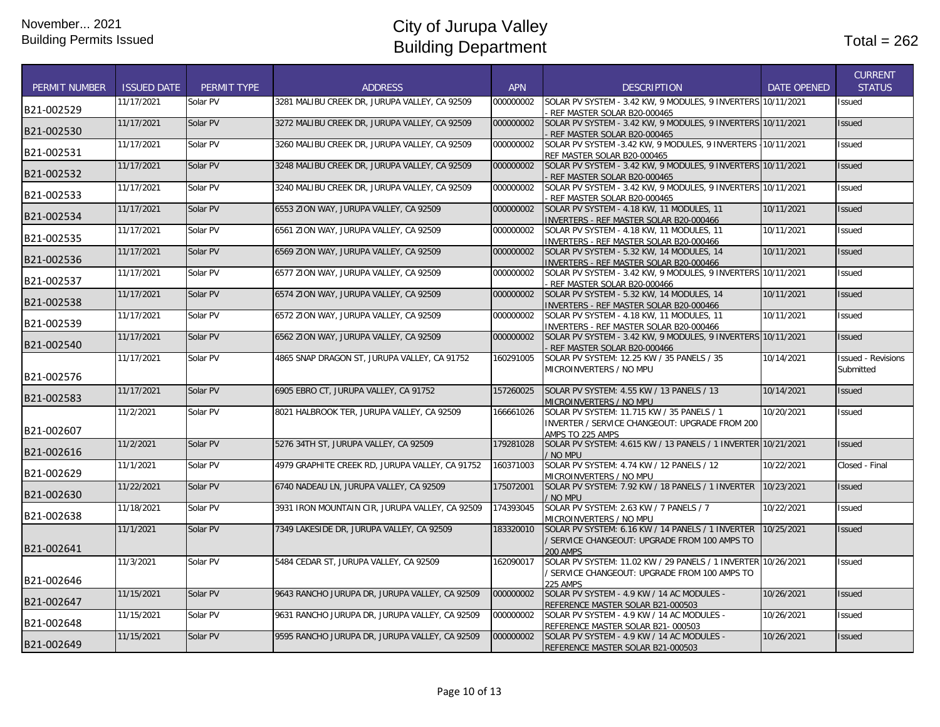|                      |                    |             |                                                 |            |                                                                                                                                   |                    | <b>CURRENT</b>                         |
|----------------------|--------------------|-------------|-------------------------------------------------|------------|-----------------------------------------------------------------------------------------------------------------------------------|--------------------|----------------------------------------|
| <b>PERMIT NUMBER</b> | <b>ISSUED DATE</b> | PERMIT TYPE | <b>ADDRESS</b>                                  | <b>APN</b> | <b>DESCRIPTION</b>                                                                                                                | <b>DATE OPENED</b> | <b>STATUS</b>                          |
| B21-002529           | 11/17/2021         | Solar PV    | 3281 MALIBU CREEK DR. JURUPA VALLEY, CA 92509   | 000000002  | SOLAR PV SYSTEM - 3.42 KW, 9 MODULES, 9 INVERTERS 10/11/2021<br>REF MASTER SOLAR B20-000465                                       |                    | Issued                                 |
| B21-002530           | 11/17/2021         | Solar PV    | 3272 MALIBU CREEK DR, JURUPA VALLEY, CA 92509   | 000000002  | SOLAR PV SYSTEM - 3.42 KW, 9 MODULES, 9 INVERTERS 10/11/2021<br>REF MASTER SOLAR B20-000465                                       |                    | <b>Issued</b>                          |
| B21-002531           | 11/17/2021         | Solar PV    | 3260 MALIBU CREEK DR, JURUPA VALLEY, CA 92509   | 000000002  | SOLAR PV SYSTEM -3.42 KW, 9 MODULES, 9 INVERTERS - 10/11/2021<br>REF MASTER SOLAR B20-000465                                      |                    | <b>Issued</b>                          |
| B21-002532           | 11/17/2021         | Solar PV    | 3248 MALIBU CREEK DR, JURUPA VALLEY, CA 92509   | 000000002  | SOLAR PV SYSTEM - 3.42 KW, 9 MODULES, 9 INVERTERS 10/11/2021<br>REF MASTER SOLAR B20-000465                                       |                    | <b>Issued</b>                          |
| B21-002533           | 11/17/2021         | Solar PV    | 3240 MALIBU CREEK DR, JURUPA VALLEY, CA 92509   | 000000002  | SOLAR PV SYSTEM - 3.42 KW, 9 MODULES, 9 INVERTERS 10/11/2021<br>REF MASTER SOLAR B20-000465                                       |                    | <b>Issued</b>                          |
| B21-002534           | 11/17/2021         | Solar PV    | 6553 ZION WAY, JURUPA VALLEY, CA 92509          | 000000002  | SOLAR PV SYSTEM - 4.18 KW, 11 MODULES, 11<br>INVERTERS - REF MASTER SOLAR B20-000466                                              | 10/11/2021         | <b>Issued</b>                          |
| B21-002535           | 11/17/2021         | Solar PV    | 6561 ZION WAY, JURUPA VALLEY, CA 92509          | 000000002  | SOLAR PV SYSTEM - 4.18 KW, 11 MODULES, 11<br>INVERTERS - REF MASTER SOLAR B20-000466                                              | 10/11/2021         | Issued                                 |
| B21-002536           | 11/17/2021         | Solar PV    | 6569 ZION WAY, JURUPA VALLEY, CA 92509          | 000000002  | SOLAR PV SYSTEM - 5.32 KW, 14 MODULES, 14<br>INVERTERS - REF MASTER SOLAR B20-000466                                              | 10/11/2021         | <b>Issued</b>                          |
| B21-002537           | 11/17/2021         | Solar PV    | 6577 ZION WAY, JURUPA VALLEY, CA 92509          | 000000002  | SOLAR PV SYSTEM - 3.42 KW, 9 MODULES, 9 INVERTERS 10/11/2021<br>REF MASTER SOLAR B20-000466                                       |                    | Issued                                 |
| B21-002538           | 11/17/2021         | Solar PV    | 6574 ZION WAY, JURUPA VALLEY, CA 92509          | 000000002  | SOLAR PV SYSTEM - 5.32 KW, 14 MODULES, 14<br>INVERTERS - REF MASTER SOLAR B20-000466                                              | 10/11/2021         | <b>Issued</b>                          |
| B21-002539           | 11/17/2021         | Solar PV    | 6572 ZION WAY, JURUPA VALLEY, CA 92509          | 000000002  | SOLAR PV SYSTEM - 4.18 KW, 11 MODULES, 11<br>INVERTERS - REF MASTER SOLAR B20-000466                                              | 10/11/2021         | Issued                                 |
| B21-002540           | 11/17/2021         | Solar PV    | 6562 ZION WAY, JURUPA VALLEY, CA 92509          | 000000002  | SOLAR PV SYSTEM - 3.42 KW, 9 MODULES, 9 INVERTERS 10/11/2021<br>REF MASTER SOLAR B20-000466                                       |                    | <b>Issued</b>                          |
| B21-002576           | 11/17/2021         | Solar PV    | 4865 SNAP DRAGON ST, JURUPA VALLEY, CA 91752    | 160291005  | SOLAR PV SYSTEM: 12.25 KW / 35 PANELS / 35<br>MICROINVERTERS / NO MPU                                                             | 10/14/2021         | <b>Issued - Revisions</b><br>Submitted |
| B21-002583           | 11/17/2021         | Solar PV    | 6905 EBRO CT, JURUPA VALLEY, CA 91752           | 157260025  | SOLAR PV SYSTEM: 4.55 KW / 13 PANELS / 13<br>MICROINVERTERS / NO MPU                                                              | 10/14/2021         | <b>Issued</b>                          |
| B21-002607           | 11/2/2021          | Solar PV    | 8021 HALBROOK TER, JURUPA VALLEY, CA 92509      | 166661026  | SOLAR PV SYSTEM: 11.715 KW / 35 PANELS / 1<br>INVERTER / SERVICE CHANGEOUT: UPGRADE FROM 200<br>AMPS TO 225 AMPS                  | 10/20/2021         | Issued                                 |
| B21-002616           | 11/2/2021          | Solar PV    | 5276 34TH ST, JURUPA VALLEY, CA 92509           | 179281028  | SOLAR PV SYSTEM: 4.615 KW / 13 PANELS / 1 INVERTER 10/21/2021<br>/ NO MPU                                                         |                    | <b>Issued</b>                          |
| B21-002629           | 11/1/2021          | Solar PV    | 4979 GRAPHITE CREEK RD. JURUPA VALLEY, CA 91752 | 160371003  | SOLAR PV SYSTEM: 4.74 KW / 12 PANELS / 12<br>MICROINVERTERS / NO MPU                                                              | 10/22/2021         | Closed - Final                         |
| B21-002630           | 11/22/2021         | Solar PV    | 6740 NADEAU LN, JURUPA VALLEY, CA 92509         | 175072001  | SOLAR PV SYSTEM: 7.92 KW / 18 PANELS / 1 INVERTER<br>/ No MPU                                                                     | 10/23/2021         | <b>Issued</b>                          |
| B21-002638           | 11/18/2021         | Solar PV    | 3931 IRON MOUNTAIN CIR, JURUPA VALLEY, CA 92509 | 174393045  | SOLAR PV SYSTEM: 2.63 KW / 7 PANELS / 7<br>MICROINVERTERS / NO MPU                                                                | 10/22/2021         | <b>Issued</b>                          |
| B21-002641           | 11/1/2021          | Solar PV    | 7349 LAKESIDE DR. JURUPA VALLEY. CA 92509       | 183320010  | SOLAR PV SYSTEM: 6.16 KW / 14 PANELS / 1 INVERTER<br>/ SERVICE CHANGEOUT: UPGRADE FROM 100 AMPS TO<br><b>200 AMPS</b>             | 10/25/2021         | <b>Issued</b>                          |
| B21-002646           | 11/3/2021          | Solar PV    | 5484 CEDAR ST, JURUPA VALLEY, CA 92509          | 162090017  | SOLAR PV SYSTEM: 11.02 KW / 29 PANELS / 1 INVERTER 10/26/2021<br>/ SERVICE CHANGEOUT: UPGRADE FROM 100 AMPS TO<br><b>225 AMPS</b> |                    | Issued                                 |
| B21-002647           | 11/15/2021         | Solar PV    | 9643 RANCHO JURUPA DR, JURUPA VALLEY, CA 92509  | 000000002  | SOLAR PV SYSTEM - 4.9 KW / 14 AC MODULES -<br>REFERENCE MASTER SOLAR B21-000503                                                   | 10/26/2021         | <b>Issued</b>                          |
| B21-002648           | 11/15/2021         | Solar PV    | 9631 RANCHO JURUPA DR, JURUPA VALLEY, CA 92509  | 000000002  | SOLAR PV SYSTEM - 4.9 KW / 14 AC MODULES -<br>REFERENCE MASTER SOLAR B21-000503                                                   | 10/26/2021         | Issued                                 |
| B21-002649           | 11/15/2021         | Solar PV    | 9595 RANCHO JURUPA DR, JURUPA VALLEY, CA 92509  | 000000002  | SOLAR PV SYSTEM - 4.9 KW / 14 AC MODULES -<br>REFERENCE MASTER SOLAR B21-000503                                                   | 10/26/2021         | <b>Issued</b>                          |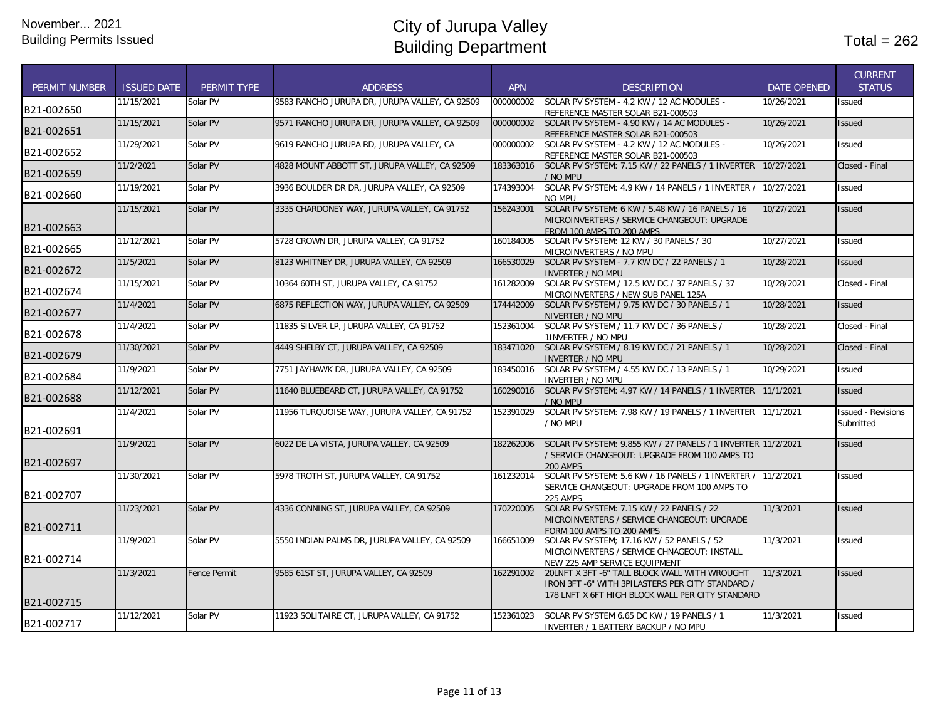| <b>PERMIT NUMBER</b> | <b>ISSUED DATE</b> | PERMIT TYPE         | <b>ADDRESS</b>                                 | <b>APN</b> | <b>DESCRIPTION</b>                                                                                                                                    | <b>DATE OPENED</b> | <b>CURRENT</b><br><b>STATUS</b>        |
|----------------------|--------------------|---------------------|------------------------------------------------|------------|-------------------------------------------------------------------------------------------------------------------------------------------------------|--------------------|----------------------------------------|
| B21-002650           | 11/15/2021         | Solar PV            | 9583 RANCHO JURUPA DR, JURUPA VALLEY, CA 92509 | 000000002  | SOLAR PV SYSTEM - 4.2 KW / 12 AC MODULES -<br>REFERENCE MASTER SOLAR B21-000503                                                                       | 10/26/2021         | Issued                                 |
| B21-002651           | 11/15/2021         | Solar PV            | 9571 RANCHO JURUPA DR, JURUPA VALLEY, CA 92509 | 000000002  | SOLAR PV SYSTEM - 4.90 KW / 14 AC MODULES -<br>REFERENCE MASTER SOLAR B21-000503                                                                      | 10/26/2021         | <b>Issued</b>                          |
| B21-002652           | 11/29/2021         | Solar PV            | 9619 RANCHO JURUPA RD, JURUPA VALLEY, CA       | 000000002  | SOLAR PV SYSTEM - 4.2 KW / 12 AC MODULES -<br>REFERENCE MASTER SOLAR B21-000503                                                                       | 10/26/2021         | <b>Issued</b>                          |
| B21-002659           | 11/2/2021          | Solar PV            | 4828 MOUNT ABBOTT ST, JURUPA VALLEY, CA 92509  | 183363016  | SOLAR PV SYSTEM: 7.15 KW / 22 PANELS / 1 INVERTER<br>/ NO MPU                                                                                         | 10/27/2021         | Closed - Final                         |
| B21-002660           | 11/19/2021         | Solar PV            | 3936 BOULDER DR DR, JURUPA VALLEY, CA 92509    | 174393004  | SOLAR PV SYSTEM: 4.9 KW / 14 PANELS / 1 INVERTER /<br>NO MPU                                                                                          | 10/27/2021         | Issued                                 |
| B21-002663           | 11/15/2021         | Solar PV            | 3335 CHARDONEY WAY, JURUPA VALLEY, CA 91752    | 156243001  | SOLAR PV SYSTEM: 6 KW / 5.48 KW / 16 PANELS / 16<br>MICROINVERTERS / SERVICE CHANGEOUT: UPGRADE<br>FROM 100 AMPS TO 200 AMPS                          | 10/27/2021         | <b>Issued</b>                          |
| B21-002665           | 11/12/2021         | Solar PV            | 5728 CROWN DR. JURUPA VALLEY. CA 91752         | 160184005  | SOLAR PV SYSTEM: 12 KW / 30 PANELS / 30<br>MICROINVERTERS / NO MPU                                                                                    | 10/27/2021         | <b>Issued</b>                          |
| B21-002672           | 11/5/2021          | Solar PV            | 8123 WHITNEY DR, JURUPA VALLEY, CA 92509       | 166530029  | SOLAR PV SYSTEM - 7.7 KW DC / 22 PANELS / 1<br>INVERTER / NO MPU                                                                                      | 10/28/2021         | <b>Issued</b>                          |
| B21-002674           | 11/15/2021         | Solar PV            | 10364 60TH ST, JURUPA VALLEY, CA 91752         | 161282009  | SOLAR PV SYSTEM / 12.5 KW DC / 37 PANELS / 37<br>MICROINVERTERS / NEW SUB PANEL 125A                                                                  | 10/28/2021         | Closed - Final                         |
| B21-002677           | 11/4/2021          | Solar PV            | 6875 REFLECTION WAY, JURUPA VALLEY, CA 92509   | 174442009  | SOLAR PV SYSTEM / 9.75 KW DC / 30 PANELS / 1<br>NIVERTER / NO MPU                                                                                     | 10/28/2021         | <b>Issued</b>                          |
| B21-002678           | 11/4/2021          | Solar PV            | 11835 SILVER LP, JURUPA VALLEY, CA 91752       | 152361004  | SOLAR PV SYSTEM / 11.7 KW DC / 36 PANELS /<br>1INVERTER / NO MPU                                                                                      | 10/28/2021         | Closed - Final                         |
| B21-002679           | 11/30/2021         | Solar PV            | 4449 SHELBY CT. JURUPA VALLEY. CA 92509        | 183471020  | SOLAR PV SYSTEM / 8.19 KW DC / 21 PANELS / 1<br>INVERTER / NO MPU                                                                                     | 10/28/2021         | Closed - Final                         |
| B21-002684           | 11/9/2021          | Solar PV            | 7751 JAYHAWK DR, JURUPA VALLEY, CA 92509       | 183450016  | SOLAR PV SYSTEM / 4.55 KW DC / 13 PANELS / 1<br>INVERTER / NO MPU                                                                                     | 10/29/2021         | Issued                                 |
| B21-002688           | 11/12/2021         | Solar PV            | 11640 BLUEBEARD CT, JURUPA VALLEY, CA 91752    | 160290016  | SOLAR PV SYSTEM: 4.97 KW / 14 PANELS / 1 INVERTER<br>/ NO MPU                                                                                         | 11/1/2021          | <b>Issued</b>                          |
| B21-002691           | 11/4/2021          | Solar PV            | 11956 TURQUOISE WAY, JURUPA VALLEY, CA 91752   | 152391029  | SOLAR PV SYSTEM: 7.98 KW / 19 PANELS / 1 INVERTER 11/1/2021<br>/ No mpu                                                                               |                    | <b>Issued - Revisions</b><br>Submitted |
| B21-002697           | 11/9/2021          | Solar PV            | 6022 DE LA VISTA, JURUPA VALLEY, CA 92509      | 182262006  | SOLAR PV SYSTEM: 9.855 KW / 27 PANELS / 1 INVERTER 11/2/2021<br>/ SERVICE CHANGEOUT: UPGRADE FROM 100 AMPS TO<br><b>200 AMPS</b>                      |                    | <b>Issued</b>                          |
| B21-002707           | 11/30/2021         | Solar PV            | 5978 TROTH ST, JURUPA VALLEY, CA 91752         | 161232014  | SOLAR PV SYSTEM: 5.6 KW / 16 PANELS / 1 INVERTER / 11/2/2021<br>SERVICE CHANGEOUT: UPGRADE FROM 100 AMPS TO<br><b>225 AMPS</b>                        |                    | Issued                                 |
| B21-002711           | 11/23/2021         | Solar PV            | 4336 CONNING ST, JURUPA VALLEY, CA 92509       | 170220005  | SOLAR PV SYSTEM: 7.15 KW / 22 PANELS / 22<br>MICROINVERTERS / SERVICE CHANGEOUT: UPGRADE<br>FORM 100 AMPS TO 200 AMPS                                 | 11/3/2021          | Issued                                 |
| B21-002714           | 11/9/2021          | Solar PV            | 5550 INDIAN PALMS DR, JURUPA VALLEY, CA 92509  | 166651009  | SOLAR PV SYSTEM: 17.16 KW / 52 PANELS / 52<br>MICROINVERTERS / SERVICE CHNAGEOUT: INSTALL<br>NEW 225 AMP SERVICE EOUIPMENT                            | 11/3/2021          | Issued                                 |
|                      | 11/3/2021          | <b>Fence Permit</b> | 9585 61ST ST, JURUPA VALLEY, CA 92509          | 162291002  | 20LNFT X 3FT -6" TALL BLOCK WALL WITH WROUGHT<br>IRON 3FT -6" WITH 3PILASTERS PER CITY STANDARD /<br>178 LNFT X 6FT HIGH BLOCK WALL PER CITY STANDARD | 11/3/2021          | Issued                                 |
| B21-002715           |                    |                     |                                                |            |                                                                                                                                                       |                    |                                        |
| B21-002717           | 11/12/2021         | Solar PV            | 11923 SOLITAIRE CT, JURUPA VALLEY, CA 91752    | 152361023  | SOLAR PV SYSTEM 6.65 DC KW / 19 PANELS / 1<br>INVERTER / 1 BATTERY BACKUP / NO MPU                                                                    | 11/3/2021          | Issued                                 |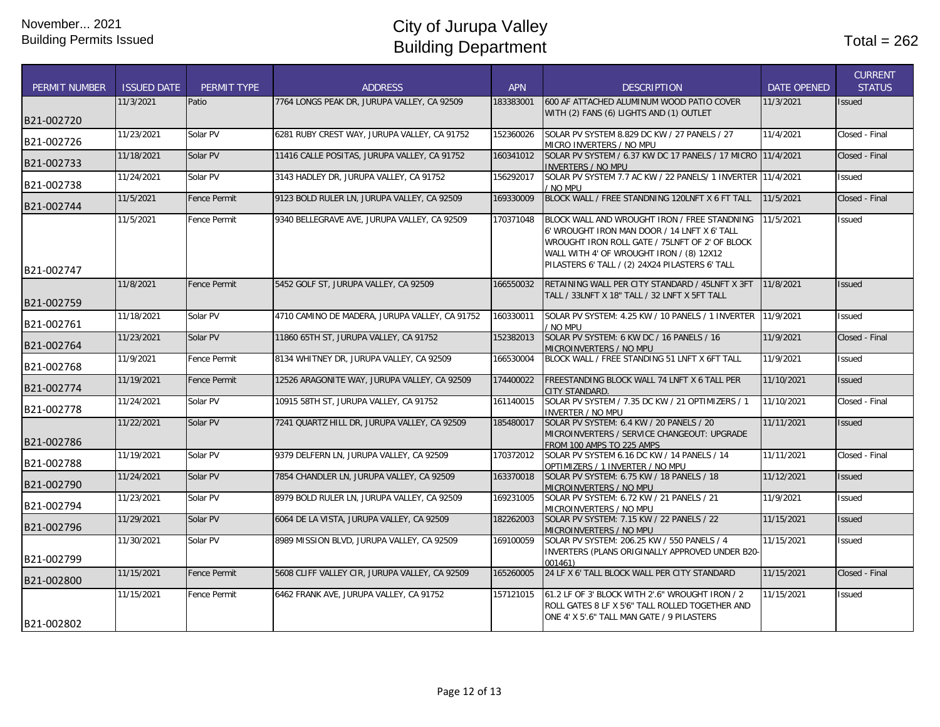| <b>PERMIT NUMBER</b> | <b>ISSUED DATE</b> | PERMIT TYPE         | <b>ADDRESS</b>                                 | <b>APN</b> | <b>DESCRIPTION</b>                                                                                                                                                                                                                            | <b>DATE OPENED</b> | <b>CURRENT</b><br><b>STATUS</b> |
|----------------------|--------------------|---------------------|------------------------------------------------|------------|-----------------------------------------------------------------------------------------------------------------------------------------------------------------------------------------------------------------------------------------------|--------------------|---------------------------------|
|                      | 11/3/2021          | Patio               | 7764 LONGS PEAK DR. JURUPA VALLEY, CA 92509    | 183383001  | 600 AF ATTACHED ALUMINUM WOOD PATIO COVER                                                                                                                                                                                                     | 11/3/2021          | <b>Issued</b>                   |
| B21-002720           |                    |                     |                                                |            | WITH (2) FANS (6) LIGHTS AND (1) OUTLET                                                                                                                                                                                                       |                    |                                 |
|                      | 11/23/2021         | Solar PV            | 6281 RUBY CREST WAY, JURUPA VALLEY, CA 91752   | 152360026  | SOLAR PV SYSTEM 8.829 DC KW / 27 PANELS / 27                                                                                                                                                                                                  | 11/4/2021          | Closed - Final                  |
| B21-002726           |                    |                     |                                                |            | MICRO INVERTERS / NO MPU                                                                                                                                                                                                                      |                    |                                 |
| B21-002733           | 11/18/2021         | Solar PV            | 11416 CALLE POSITAS, JURUPA VALLEY, CA 91752   | 160341012  | SOLAR PV SYSTEM / 6.37 KW DC 17 PANELS / 17 MICRO 11/4/2021<br><b>INVERTERS / NO MPU</b>                                                                                                                                                      |                    | Closed - Final                  |
| B21-002738           | 11/24/2021         | Solar PV            | 3143 HADLEY DR, JURUPA VALLEY, CA 91752        | 156292017  | SOLAR PV SYSTEM 7.7 AC KW / 22 PANELS/ 1 INVERTER 11/4/2021<br>/ NO MPU                                                                                                                                                                       |                    | Issued                          |
| B21-002744           | 11/5/2021          | <b>Fence Permit</b> | 9123 BOLD RULER LN, JURUPA VALLEY, CA 92509    | 169330009  | BLOCK WALL / FREE STANDNING 120LNFT X 6 FT TALL                                                                                                                                                                                               | 11/5/2021          | Closed - Final                  |
|                      | 11/5/2021          | <b>Fence Permit</b> | 9340 BELLEGRAVE AVE, JURUPA VALLEY, CA 92509   | 170371048  | BLOCK WALL AND WROUGHT IRON / FREE STANDNING<br>6' WROUGHT IRON MAN DOOR / 14 LNFT X 6' TALL<br>WROUGHT IRON ROLL GATE / 75LNFT OF 2' OF BLOCK<br>WALL WITH 4' OF WROUGHT IRON / (8) 12X12<br>PILASTERS 6' TALL / (2) 24X24 PILASTERS 6' TALL | 11/5/2021          | <b>Issued</b>                   |
| B21-002747           |                    |                     |                                                |            |                                                                                                                                                                                                                                               |                    |                                 |
| B21-002759           | 11/8/2021          | <b>Fence Permit</b> | 5452 GOLF ST. JURUPA VALLEY. CA 92509          | 166550032  | RETAINING WALL PER CITY STANDARD / 45LNFT X 3FT<br>TALL / 33LNFT X 18" TALL / 32 LNFT X 5FT TALL                                                                                                                                              | 11/8/2021          | <b>Issued</b>                   |
| B21-002761           | 11/18/2021         | Solar PV            | 4710 CAMINO DE MADERA, JURUPA VALLEY, CA 91752 | 160330011  | SOLAR PV SYSTEM: 4.25 KW / 10 PANELS / 1 INVERTER 11/9/2021<br>/ NO MPU                                                                                                                                                                       |                    | <b>Issued</b>                   |
| B21-002764           | 11/23/2021         | Solar PV            | 11860 65TH ST, JURUPA VALLEY, CA 91752         | 152382013  | SOLAR PV SYSTEM: 6 KW DC / 16 PANELS / 16<br>MICROINVERTERS / NO MPU                                                                                                                                                                          | 11/9/2021          | Closed - Final                  |
| B21-002768           | 11/9/2021          | <b>Fence Permit</b> | 8134 WHITNEY DR, JURUPA VALLEY, CA 92509       | 166530004  | BLOCK WALL / FREE STANDING 51 LNFT X 6FT TALL                                                                                                                                                                                                 | 11/9/2021          | <b>Issued</b>                   |
| B21-002774           | 11/19/2021         | <b>Fence Permit</b> | 12526 ARAGONITE WAY, JURUPA VALLEY, CA 92509   | 174400022  | FREESTANDING BLOCK WALL 74 LNFT X 6 TALL PER<br>CITY STANDARD                                                                                                                                                                                 | 11/10/2021         | <b>Issued</b>                   |
| B21-002778           | 11/24/2021         | Solar PV            | 10915 58TH ST, JURUPA VALLEY, CA 91752         | 161140015  | SOLAR PV SYSTEM / 7.35 DC KW / 21 OPTIMIZERS / 1<br><b>INVERTER / NO MPU</b>                                                                                                                                                                  | 11/10/2021         | Closed - Final                  |
|                      | 11/22/2021         | Solar PV            | 7241 QUARTZ HILL DR, JURUPA VALLEY, CA 92509   | 185480017  | SOLAR PV SYSTEM: 6.4 KW / 20 PANELS / 20                                                                                                                                                                                                      | 11/11/2021         | <b>Issued</b>                   |
| B21-002786           |                    |                     |                                                |            | MICROINVERTERS / SERVICE CHANGEOUT: UPGRADE<br>FROM 100 AMPS TO 225 AMPS                                                                                                                                                                      |                    |                                 |
| B21-002788           | 11/19/2021         | Solar PV            | 9379 DELFERN LN, JURUPA VALLEY, CA 92509       | 170372012  | SOLAR PV SYSTEM 6.16 DC KW / 14 PANELS / 14                                                                                                                                                                                                   | 11/11/2021         | Closed - Final                  |
| B21-002790           | 11/24/2021         | Solar PV            | 7854 CHANDLER LN, JURUPA VALLEY, CA 92509      | 163370018  | OPTIMIZERS / 1 INVERTER / NO MPU<br>SOLAR PV SYSTEM: 6.75 KW / 18 PANELS / 18                                                                                                                                                                 | 11/12/2021         | <b>Issued</b>                   |
|                      | 11/23/2021         | Solar PV            | 8979 BOLD RULER LN, JURUPA VALLEY, CA 92509    | 169231005  | MICROINVERTERS / NO MPU<br>SOLAR PV SYSTEM: 6.72 KW / 21 PANELS / 21                                                                                                                                                                          | 11/9/2021          | <b>Issued</b>                   |
| B21-002794           |                    |                     |                                                |            | MICROINVERTERS / NO MPU                                                                                                                                                                                                                       |                    |                                 |
| B21-002796           | 11/29/2021         | Solar PV            | 6064 DE LA VISTA, JURUPA VALLEY, CA 92509      | 182262003  | SOLAR PV SYSTEM: 7.15 KW / 22 PANELS / 22<br>MICROINVERTERS / NO MPU                                                                                                                                                                          | 11/15/2021         | <b>Issued</b>                   |
|                      | 11/30/2021         | Solar PV            | 8989 MISSION BLVD, JURUPA VALLEY, CA 92509     | 169100059  | SOLAR PV SYSTEM: 206.25 KW / 550 PANELS / 4                                                                                                                                                                                                   | 11/15/2021         | Issued                          |
| B21-002799           |                    |                     |                                                |            | INVERTERS (PLANS ORIGINALLY APPROVED UNDER B20-<br>001461)                                                                                                                                                                                    |                    |                                 |
| B21-002800           | 11/15/2021         | <b>Fence Permit</b> | 5608 CLIFF VALLEY CIR, JURUPA VALLEY, CA 92509 | 165260005  | 24 LF X 6' TALL BLOCK WALL PER CITY STANDARD                                                                                                                                                                                                  | 11/15/2021         | Closed - Final                  |
| B21-002802           | 11/15/2021         | <b>Fence Permit</b> | 6462 FRANK AVE, JURUPA VALLEY, CA 91752        | 157121015  | 61.2 LF OF 3' BLOCK WITH 2'.6" WROUGHT IRON / 2<br>ROLL GATES 8 LF X 5'6" TALL ROLLED TOGETHER AND<br>ONE 4' X 5'.6" TALL MAN GATE / 9 PILASTERS                                                                                              | 11/15/2021         | <b>Issued</b>                   |